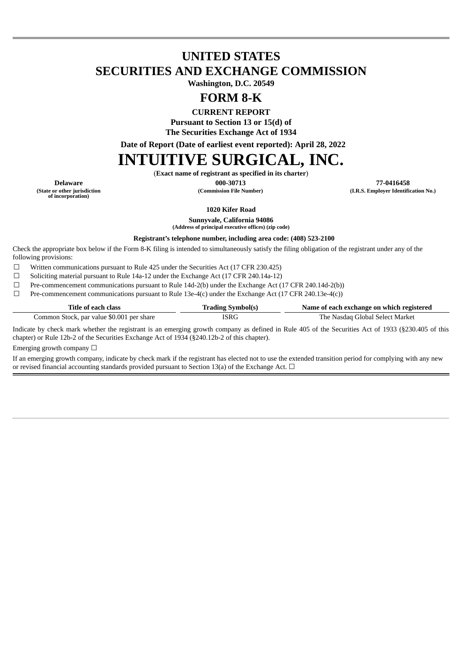# **UNITED STATES SECURITIES AND EXCHANGE COMMISSION**

**Washington, D.C. 20549**

# **FORM 8-K**

# **CURRENT REPORT**

**Pursuant to Section 13 or 15(d) of The Securities Exchange Act of 1934**

**Date of Report (Date of earliest event reported): April 28, 2022**

# **INTUITIVE SURGICAL, INC.**

(**Exact name of registrant as specified in its charter**)

**Delaware 000-30713 77-0416458 (Commission File Number) (I.R.S. Employer Identification No.)**

**(State or other jurisdiction of incorporation)**

**1020 Kifer Road**

**Sunnyvale, California 94086**

**(Address of principal executive offices) (zip code)**

# **Registrant's telephone number, including area code: (408) 523-2100**

Check the appropriate box below if the Form 8-K filing is intended to simultaneously satisfy the filing obligation of the registrant under any of the following provisions:

- ☐ Written communications pursuant to Rule 425 under the Securities Act (17 CFR 230.425)
- ☐ Soliciting material pursuant to Rule 14a-12 under the Exchange Act (17 CFR 240.14a-12)
- $\Box$  Pre-commencement communications pursuant to Rule 14d-2(b) under the Exchange Act (17 CFR 240.14d-2(b))
- $\Box$  Pre-commencement communications pursuant to Rule 13e-4(c) under the Exchange Act (17 CFR 240.13e-4(c))

| Title of each class                       | <b>Trading Symbol(s)</b> | Name of each exchange on which registered |
|-------------------------------------------|--------------------------|-------------------------------------------|
| Common Stock, par value \$0.001 per share | 'SRG                     | The Nasdag Global Select Market           |

Indicate by check mark whether the registrant is an emerging growth company as defined in Rule 405 of the Securities Act of 1933 (§230.405 of this chapter) or Rule 12b-2 of the Securities Exchange Act of 1934 (§240.12b-2 of this chapter).

Emerging growth company  $\Box$ 

If an emerging growth company, indicate by check mark if the registrant has elected not to use the extended transition period for complying with any new or revised financial accounting standards provided pursuant to Section 13(a) of the Exchange Act.  $\Box$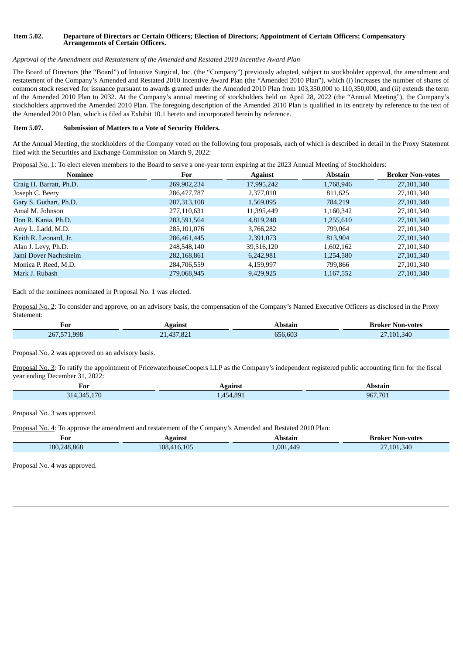#### Item 5.02. Departure of Directors or Certain Officers; Election of Directors; Appointment of Certain Officers; Compensatory **Arrangements of Certain Officers.**

# *Approval of the Amendment and Restatement of the Amended and Restated 2010 Incentive Award Plan*

The Board of Directors (the "Board") of Intuitive Surgical, Inc. (the "Company") previously adopted, subject to stockholder approval, the amendment and restatement of the Company's Amended and Restated 2010 Incentive Award Plan (the "Amended 2010 Plan"), which (i) increases the number of shares of common stock reserved for issuance pursuant to awards granted under the Amended 2010 Plan from 103,350,000 to 110,350,000, and (ii) extends the term of the Amended 2010 Plan to 2032. At the Company's annual meeting of stockholders held on April 28, 2022 (the "Annual Meeting"), the Company's stockholders approved the Amended 2010 Plan. The foregoing description of the Amended 2010 Plan is qualified in its entirety by reference to the text of the Amended 2010 Plan, which is filed as Exhibit 10.1 hereto and incorporated herein by reference.

#### **Item 5.07. Submission of Matters to a Vote of Security Holders.**

At the Annual Meeting, the stockholders of the Company voted on the following four proposals, each of which is described in detail in the Proxy Statement filed with the Securities and Exchange Commission on March 9, 2022:

Proposal No. 1: To elect eleven members to the Board to serve a one-year term expiring at the 2023 Annual Meeting of Stockholders:

| <b>Nominee</b>          | For           | <b>Against</b> | <b>Abstain</b> | <b>Broker Non-votes</b> |
|-------------------------|---------------|----------------|----------------|-------------------------|
| Craig H. Barratt, Ph.D. | 269,902,234   | 17,995,242     | 1,768,946      | 27,101,340              |
| Joseph C. Beery         | 286,477,787   | 2,377,010      | 811,625        | 27,101,340              |
| Gary S. Guthart, Ph.D.  | 287, 313, 108 | 1,569,095      | 784,219        | 27,101,340              |
| Amal M. Johnson         | 277,110,631   | 11,395,449     | 1,160,342      | 27,101,340              |
| Don R. Kania, Ph.D.     | 283,591,564   | 4,819,248      | 1,255,610      | 27,101,340              |
| Amy L. Ladd, M.D.       | 285,101,076   | 3,766,282      | 799,064        | 27,101,340              |
| Keith R. Leonard, Jr.   | 286,461,445   | 2,391,073      | 813,904        | 27,101,340              |
| Alan J. Levy, Ph.D.     | 248,548,140   | 39,516,120     | 1,602,162      | 27,101,340              |
| Jami Dover Nachtsheim   | 282,168,861   | 6,242,981      | 1,254,580      | 27,101,340              |
| Monica P. Reed, M.D.    | 284,706,559   | 4,159,997      | 799,866        | 27,101,340              |
| Mark J. Rubash          | 279,068,945   | 9,429,925      | 1,167,552      | 27,101,340              |

Each of the nominees nominated in Proposal No. 1 was elected.

Proposal No. 2: To consider and approve, on an advisory basis, the compensation of the Company's Named Executive Officers as disclosed in the Proxy Statement:

| For<br>$\sim$ $\sim$           | Against                | Abstain<br>.                                   | Non-votes<br>Broker   |
|--------------------------------|------------------------|------------------------------------------------|-----------------------|
| .998<br>267<br>$\sim$ $\prime$ | $\Omega$<br>∍.<br>.OZ. | $\sim$<br>$\sim$ $\sim$ $\sim$<br>החרי<br>UUJ. | .340<br>$\sim$<br>101 |

Proposal No. 2 was approved on an advisory basis.

Proposal No. 3: To ratify the appointment of PricewaterhouseCoopers LLP as the Company's independent registered public accounting firm for the fiscal year ending December 31, 2022:

| r or                | Vgainst  | Abstain |
|---------------------|----------|---------|
| 314 345 170<br>1/1. | .454.891 | 967,701 |

Proposal No. 3 was approved.

Proposal No. 4: To approve the amendment and restatement of the Company's Amended and Restated 2010 Plan:

| For         | Against     | Abstain   | <b>Broker Non-votes</b> |
|-------------|-------------|-----------|-------------------------|
| 180,248,868 | 108.416.105 | 1,001,449 | 7,101,340               |

Proposal No. 4 was approved.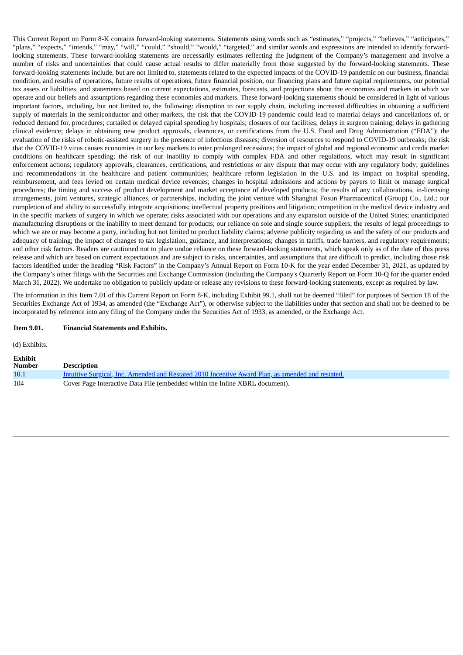This Current Report on Form 8-K contains forward-looking statements. Statements using words such as "estimates," "projects," "believes," "anticipates," "plans," "expects," "intends," "may," "will," "could," "should," "twould," "targeted," and similar words and expressions are intended to identify forwardlooking statements. These forward-looking statements are necessarily estimates reflecting the judgment of the Company's management and involve a number of risks and uncertainties that could cause actual results to differ materially from those suggested by the forward-looking statements. These forward-looking statements include, but are not limited to, statements related to the expected impacts of the COVID-19 pandemic on our business, financial condition, and results of operations, future results of operations, future financial position, our financing plans and future capital requirements, our potential tax assets or liabilities, and statements based on current expectations, estimates, forecasts, and projections about the economies and markets in which we operate and our beliefs and assumptions regarding these economies and markets. These forward-looking statements should be considered in light of various important factors, including, but not limited to, the following: disruption to our supply chain, including increased difficulties in obtaining a sufficient supply of materials in the semiconductor and other markets, the risk that the COVID-19 pandemic could lead to material delays and cancellations of, or reduced demand for, procedures; curtailed or delayed capital spending by hospitals; closures of our facilities; delays in surgeon training; delays in gathering clinical evidence; delays in obtaining new product approvals, clearances, or certifications from the U.S. Food and Drug Administration ("FDA"); the evaluation of the risks of robotic-assisted surgery in the presence of infectious diseases; diversion of resources to respond to COVID-19 outbreaks; the risk that the COVID-19 virus causes economies in our key markets to enter prolonged recessions; the impact of global and regional economic and credit market conditions on healthcare spending; the risk of our inability to comply with complex FDA and other regulations, which may result in significant enforcement actions; regulatory approvals, clearances, certifications, and restrictions or any dispute that may occur with any regulatory body; guidelines and recommendations in the healthcare and patient communities; healthcare reform legislation in the U.S. and its impact on hospital spending, reimbursement, and fees levied on certain medical device revenues; changes in hospital admissions and actions by payers to limit or manage surgical procedures; the timing and success of product development and market acceptance of developed products; the results of any collaborations, in-licensing arrangements, joint ventures, strategic alliances, or partnerships, including the joint venture with Shanghai Fosun Pharmaceutical (Group) Co., Ltd.; our completion of and ability to successfully integrate acquisitions; intellectual property positions and litigation; competition in the medical device industry and in the specific markets of surgery in which we operate; risks associated with our operations and any expansion outside of the United States; unanticipated manufacturing disruptions or the inability to meet demand for products; our reliance on sole and single source suppliers; the results of legal proceedings to which we are or may become a party, including but not limited to product liability claims; adverse publicity regarding us and the safety of our products and adequacy of training; the impact of changes to tax legislation, guidance, and interpretations; changes in tariffs, trade barriers, and regulatory requirements; and other risk factors. Readers are cautioned not to place undue reliance on these forward-looking statements, which speak only as of the date of this press release and which are based on current expectations and are subject to risks, uncertainties, and assumptions that are difficult to predict, including those risk factors identified under the heading "Risk Factors" in the Company's Annual Report on Form 10-K for the year ended December 31, 2021, as updated by the Company's other filings with the Securities and Exchange Commission (including the Company's Quarterly Report on Form 10-Q for the quarter ended March 31, 2022). We undertake no obligation to publicly update or release any revisions to these forward-looking statements, except as required by law.

The information in this Item 7.01 of this Current Report on Form 8-K, including Exhibit 99.1, shall not be deemed "filed" for purposes of Section 18 of the Securities Exchange Act of 1934, as amended (the "Exchange Act"), or otherwise subject to the liabilities under that section and shall not be deemed to be incorporated by reference into any filing of the Company under the Securities Act of 1933, as amended, or the Exchange Act.

# **Item 9.01. Financial Statements and Exhibits.**

(d) Exhibits.

**Exhibit**

| EXMDIT<br><b>Number</b> | <b>Description</b>                                                                                |
|-------------------------|---------------------------------------------------------------------------------------------------|
| 10.1                    | Intuitive Surgical, Inc. Amended and Restated 2010 Incentive Award Plan, as amended and restated. |
| 104                     | Cover Page Interactive Data File (embedded within the Inline XBRL document).                      |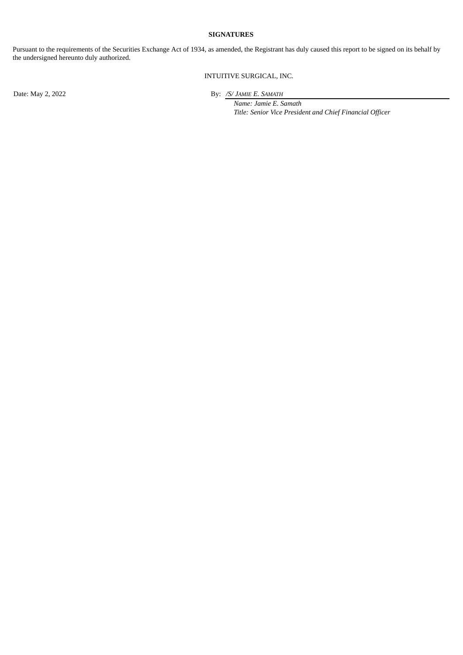# **SIGNATURES**

Pursuant to the requirements of the Securities Exchange Act of 1934, as amended, the Registrant has duly caused this report to be signed on its behalf by the undersigned hereunto duly authorized.

# INTUITIVE SURGICAL, INC.

Date: May 2, 2022 By: */S/ JAMIE E. SAMATH*

*Name: Jamie E. Samath Title: Senior Vice President and Chief Financial Officer*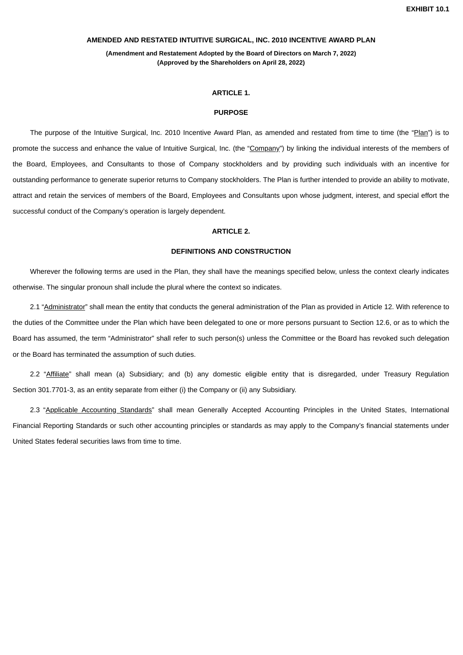# <span id="page-4-0"></span>**AMENDED AND RESTATED INTUITIVE SURGICAL, INC. 2010 INCENTIVE AWARD PLAN**

**(Amendment and Restatement Adopted by the Board of Directors on March 7, 2022) (Approved by the Shareholders on April 28, 2022)**

#### **ARTICLE 1.**

#### **PURPOSE**

The purpose of the Intuitive Surgical, Inc. 2010 Incentive Award Plan, as amended and restated from time to time (the "Plan") is to promote the success and enhance the value of Intuitive Surgical, Inc. (the "Company") by linking the individual interests of the members of the Board, Employees, and Consultants to those of Company stockholders and by providing such individuals with an incentive for outstanding performance to generate superior returns to Company stockholders. The Plan is further intended to provide an ability to motivate, attract and retain the services of members of the Board, Employees and Consultants upon whose judgment, interest, and special effort the successful conduct of the Company's operation is largely dependent.

#### **ARTICLE 2.**

# **DEFINITIONS AND CONSTRUCTION**

Wherever the following terms are used in the Plan, they shall have the meanings specified below, unless the context clearly indicates otherwise. The singular pronoun shall include the plural where the context so indicates.

2.1 "Administrator" shall mean the entity that conducts the general administration of the Plan as provided in Article 12. With reference to the duties of the Committee under the Plan which have been delegated to one or more persons pursuant to Section 12.6, or as to which the Board has assumed, the term "Administrator" shall refer to such person(s) unless the Committee or the Board has revoked such delegation or the Board has terminated the assumption of such duties.

2.2 "Affiliate" shall mean (a) Subsidiary; and (b) any domestic eligible entity that is disregarded, under Treasury Regulation Section 301.7701-3, as an entity separate from either (i) the Company or (ii) any Subsidiary.

2.3 "Applicable Accounting Standards" shall mean Generally Accepted Accounting Principles in the United States, International Financial Reporting Standards or such other accounting principles or standards as may apply to the Company's financial statements under United States federal securities laws from time to time.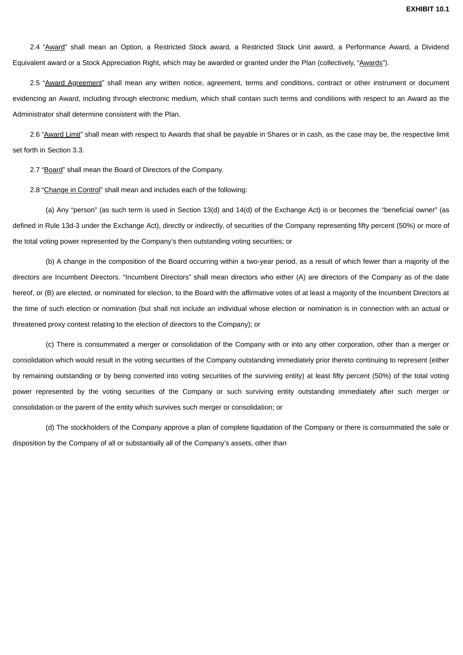2.4 "Award" shall mean an Option, a Restricted Stock award, a Restricted Stock Unit award, a Performance Award, a Dividend Equivalent award or a Stock Appreciation Right, which may be awarded or granted under the Plan (collectively, "Awards").

2.5 "Award Agreement" shall mean any written notice, agreement, terms and conditions, contract or other instrument or document evidencing an Award, including through electronic medium, which shall contain such terms and conditions with respect to an Award as the Administrator shall determine consistent with the Plan.

2.6 "Award Limit" shall mean with respect to Awards that shall be payable in Shares or in cash, as the case may be, the respective limit set forth in Section 3.3.

2.7 "Board" shall mean the Board of Directors of the Company.

2.8 "Change in Control" shall mean and includes each of the following:

(a) Any "person" (as such term is used in Section 13(d) and 14(d) of the Exchange Act) is or becomes the "beneficial owner" (as defined in Rule 13d-3 under the Exchange Act), directly or indirectly, of securities of the Company representing fifty percent (50%) or more of the total voting power represented by the Company's then outstanding voting securities; or

(b) A change in the composition of the Board occurring within a two-year period, as a result of which fewer than a majority of the directors are Incumbent Directors. "Incumbent Directors" shall mean directors who either (A) are directors of the Company as of the date hereof, or (B) are elected, or nominated for election, to the Board with the affirmative votes of at least a majority of the Incumbent Directors at the time of such election or nomination (but shall not include an individual whose election or nomination is in connection with an actual or threatened proxy contest relating to the election of directors to the Company); or

(c) There is consummated a merger or consolidation of the Company with or into any other corporation, other than a merger or consolidation which would result in the voting securities of the Company outstanding immediately prior thereto continuing to represent (either by remaining outstanding or by being converted into voting securities of the surviving entity) at least fifty percent (50%) of the total voting power represented by the voting securities of the Company or such surviving entity outstanding immediately after such merger or consolidation or the parent of the entity which survives such merger or consolidation; or

(d) The stockholders of the Company approve a plan of complete liquidation of the Company or there is consummated the sale or disposition by the Company of all or substantially all of the Company's assets, other than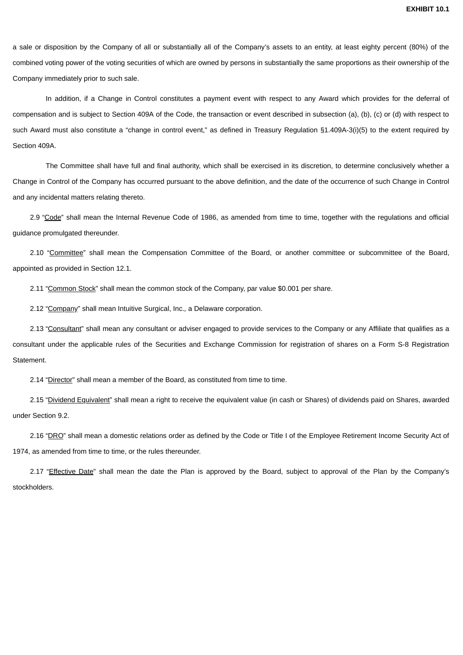a sale or disposition by the Company of all or substantially all of the Company's assets to an entity, at least eighty percent (80%) of the combined voting power of the voting securities of which are owned by persons in substantially the same proportions as their ownership of the Company immediately prior to such sale.

In addition, if a Change in Control constitutes a payment event with respect to any Award which provides for the deferral of compensation and is subject to Section 409A of the Code, the transaction or event described in subsection (a), (b), (c) or (d) with respect to such Award must also constitute a "change in control event," as defined in Treasury Regulation §1.409A-3(i)(5) to the extent required by Section 409A.

The Committee shall have full and final authority, which shall be exercised in its discretion, to determine conclusively whether a Change in Control of the Company has occurred pursuant to the above definition, and the date of the occurrence of such Change in Control and any incidental matters relating thereto.

2.9 "Code" shall mean the Internal Revenue Code of 1986, as amended from time to time, together with the regulations and official guidance promulgated thereunder.

2.10 "Committee" shall mean the Compensation Committee of the Board, or another committee or subcommittee of the Board, appointed as provided in Section 12.1.

2.11 "Common Stock" shall mean the common stock of the Company, par value \$0.001 per share.

2.12 "Company" shall mean Intuitive Surgical, Inc.*,* a Delaware corporation.

2.13 "Consultant" shall mean any consultant or adviser engaged to provide services to the Company or any Affiliate that qualifies as a consultant under the applicable rules of the Securities and Exchange Commission for registration of shares on a Form S-8 Registration Statement.

2.14 "Director" shall mean a member of the Board, as constituted from time to time.

2.15 "Dividend Equivalent" shall mean a right to receive the equivalent value (in cash or Shares) of dividends paid on Shares, awarded under Section 9.2.

2.16 "DRO" shall mean a domestic relations order as defined by the Code or Title I of the Employee Retirement Income Security Act of 1974, as amended from time to time, or the rules thereunder.

2.17 "Effective Date" shall mean the date the Plan is approved by the Board, subject to approval of the Plan by the Company's stockholders.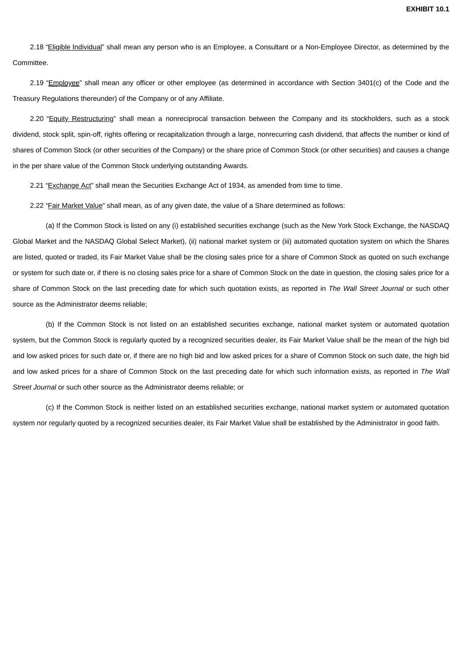2.18 "Eligible Individual" shall mean any person who is an Employee, a Consultant or a Non-Employee Director, as determined by the Committee.

2.19 "Employee" shall mean any officer or other employee (as determined in accordance with Section 3401(c) of the Code and the Treasury Regulations thereunder) of the Company or of any Affiliate.

2.20 "Equity Restructuring" shall mean a nonreciprocal transaction between the Company and its stockholders, such as a stock dividend, stock split, spin-off, rights offering or recapitalization through a large, nonrecurring cash dividend, that affects the number or kind of shares of Common Stock (or other securities of the Company) or the share price of Common Stock (or other securities) and causes a change in the per share value of the Common Stock underlying outstanding Awards.

2.21 "Exchange Act" shall mean the Securities Exchange Act of 1934, as amended from time to time.

2.22 "Fair Market Value" shall mean, as of any given date, the value of a Share determined as follows:

(a) If the Common Stock is listed on any (i) established securities exchange (such as the New York Stock Exchange, the NASDAQ Global Market and the NASDAQ Global Select Market), (ii) national market system or (iii) automated quotation system on which the Shares are listed, quoted or traded, its Fair Market Value shall be the closing sales price for a share of Common Stock as quoted on such exchange or system for such date or, if there is no closing sales price for a share of Common Stock on the date in question, the closing sales price for a share of Common Stock on the last preceding date for which such quotation exists, as reported in *The Wall Street Journal* or such other source as the Administrator deems reliable;

(b) If the Common Stock is not listed on an established securities exchange, national market system or automated quotation system, but the Common Stock is regularly quoted by a recognized securities dealer, its Fair Market Value shall be the mean of the high bid and low asked prices for such date or, if there are no high bid and low asked prices for a share of Common Stock on such date, the high bid and low asked prices for a share of Common Stock on the last preceding date for which such information exists, as reported in *The Wall Street Journal* or such other source as the Administrator deems reliable; or

(c) If the Common Stock is neither listed on an established securities exchange, national market system or automated quotation system nor regularly quoted by a recognized securities dealer, its Fair Market Value shall be established by the Administrator in good faith.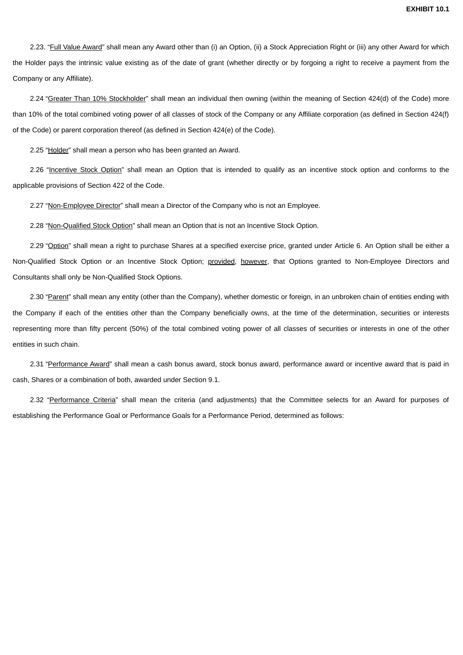2.23. "Full Value Award" shall mean any Award other than (i) an Option, (ii) a Stock Appreciation Right or (iii) any other Award for which the Holder pays the intrinsic value existing as of the date of grant (whether directly or by forgoing a right to receive a payment from the Company or any Affiliate).

2.24 "Greater Than 10% Stockholder" shall mean an individual then owning (within the meaning of Section 424(d) of the Code) more than 10% of the total combined voting power of all classes of stock of the Company or any Affiliate corporation (as defined in Section 424(f) of the Code) or parent corporation thereof (as defined in Section 424(e) of the Code).

2.25 "Holder" shall mean a person who has been granted an Award.

2.26 "Incentive Stock Option" shall mean an Option that is intended to qualify as an incentive stock option and conforms to the applicable provisions of Section 422 of the Code.

2.27 "Non-Employee Director" shall mean a Director of the Company who is not an Employee.

2.28 "Non-Qualified Stock Option" shall mean an Option that is not an Incentive Stock Option.

2.29 "Option" shall mean a right to purchase Shares at a specified exercise price, granted under Article 6. An Option shall be either a Non-Qualified Stock Option or an Incentive Stock Option; provided, however, that Options granted to Non-Employee Directors and Consultants shall only be Non-Qualified Stock Options.

2.30 "Parent" shall mean any entity (other than the Company), whether domestic or foreign, in an unbroken chain of entities ending with the Company if each of the entities other than the Company beneficially owns, at the time of the determination, securities or interests representing more than fifty percent (50%) of the total combined voting power of all classes of securities or interests in one of the other entities in such chain.

2.31 "Performance Award" shall mean a cash bonus award, stock bonus award, performance award or incentive award that is paid in cash, Shares or a combination of both, awarded under Section 9.1.

2.32 "Performance Criteria" shall mean the criteria (and adjustments) that the Committee selects for an Award for purposes of establishing the Performance Goal or Performance Goals for a Performance Period, determined as follows: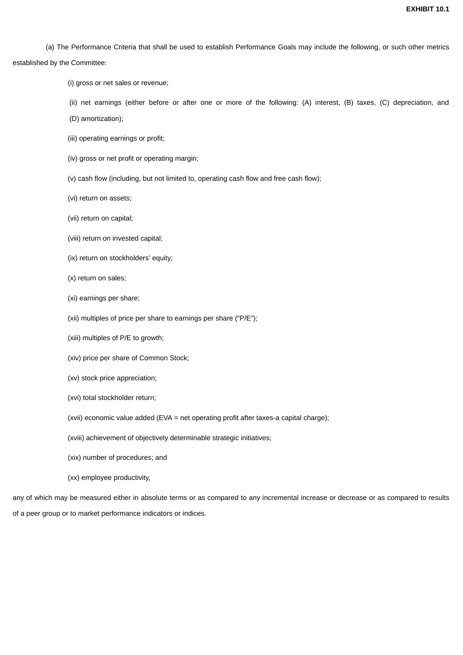(a) The Performance Criteria that shall be used to establish Performance Goals may include the following, or such other metrics established by the Committee:

- (i) gross or net sales or revenue;
- (ii) net earnings (either before or after one or more of the following: (A) interest, (B) taxes, (C) depreciation, and
- (D) amortization);
- (iii) operating earnings or profit;
- (iv) gross or net profit or operating margin;
- (v) cash flow (including, but not limited to, operating cash flow and free cash flow);
- (vi) return on assets;
- (vii) return on capital;
- (viii) return on invested capital;
- (ix) return on stockholders' equity;
- (x) return on sales;
- (xi) earnings per share;
- (xii) multiples of price per share to earnings per share ("P/E");
- (xiii) multiples of P/E to growth;
- (xiv) price per share of Common Stock;
- (xv) stock price appreciation;
- (xvi) total stockholder return;
- (xvii) economic value added (EVA = net operating profit after taxes-a capital charge);
- (xviii) achievement of objectively determinable strategic initiatives;
- (xix) number of procedures; and
- (xx) employee productivity,

any of which may be measured either in absolute terms or as compared to any incremental increase or decrease or as compared to results of a peer group or to market performance indicators or indices.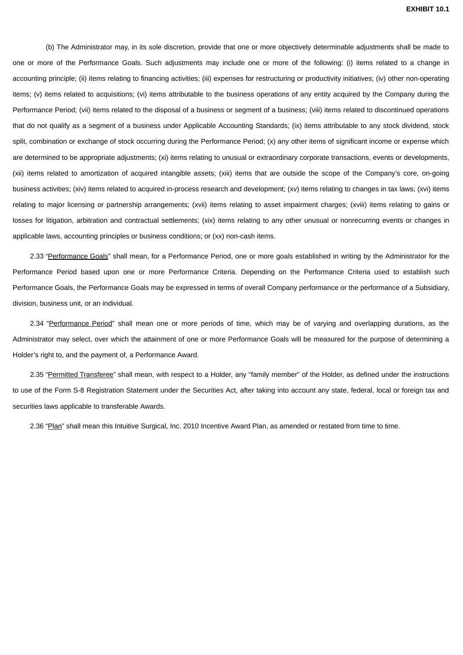(b) The Administrator may, in its sole discretion, provide that one or more objectively determinable adjustments shall be made to one or more of the Performance Goals. Such adjustments may include one or more of the following: (i) items related to a change in accounting principle; (ii) items relating to financing activities; (iii) expenses for restructuring or productivity initiatives; (iv) other non-operating items; (v) items related to acquisitions; (vi) items attributable to the business operations of any entity acquired by the Company during the Performance Period; (vii) items related to the disposal of a business or segment of a business; (viii) items related to discontinued operations that do not qualify as a segment of a business under Applicable Accounting Standards; (ix) items attributable to any stock dividend, stock split, combination or exchange of stock occurring during the Performance Period; (x) any other items of significant income or expense which are determined to be appropriate adjustments; (xi) items relating to unusual or extraordinary corporate transactions, events or developments, (xii) items related to amortization of acquired intangible assets; (xiii) items that are outside the scope of the Company's core, on-going business activities; (xiv) items related to acquired in-process research and development; (xv) items relating to changes in tax laws; (xvi) items relating to major licensing or partnership arrangements; (xvii) items relating to asset impairment charges; (xviii) items relating to gains or losses for litigation, arbitration and contractual settlements; (xix) items relating to any other unusual or nonrecurring events or changes in applicable laws, accounting principles or business conditions; or (xx) non-cash items.

2.33 "Performance Goals" shall mean, for a Performance Period, one or more goals established in writing by the Administrator for the Performance Period based upon one or more Performance Criteria. Depending on the Performance Criteria used to establish such Performance Goals, the Performance Goals may be expressed in terms of overall Company performance or the performance of a Subsidiary, division, business unit, or an individual.

2.34 "Performance Period" shall mean one or more periods of time, which may be of varying and overlapping durations, as the Administrator may select, over which the attainment of one or more Performance Goals will be measured for the purpose of determining a Holder's right to, and the payment of, a Performance Award.

2.35 "Permitted Transferee" shall mean, with respect to a Holder, any "family member" of the Holder, as defined under the instructions to use of the Form S-8 Registration Statement under the Securities Act, after taking into account any state, federal, local or foreign tax and securities laws applicable to transferable Awards.

2.36 "Plan" shall mean this Intuitive Surgical, Inc. 2010 Incentive Award Plan, as amended or restated from time to time.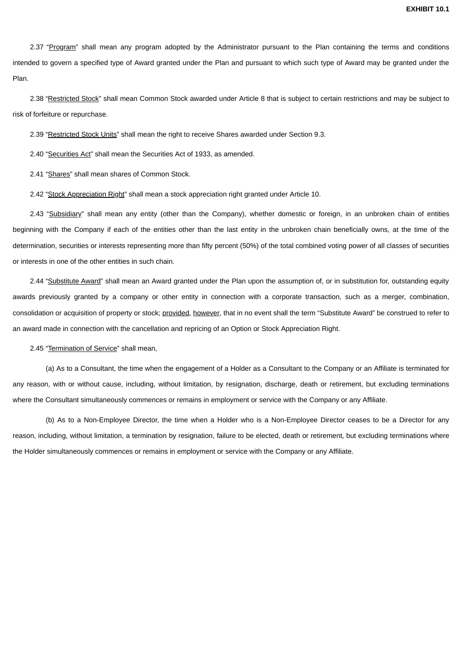2.37 "Program" shall mean any program adopted by the Administrator pursuant to the Plan containing the terms and conditions intended to govern a specified type of Award granted under the Plan and pursuant to which such type of Award may be granted under the Plan.

2.38 "Restricted Stock" shall mean Common Stock awarded under Article 8 that is subject to certain restrictions and may be subject to risk of forfeiture or repurchase.

2.39 "Restricted Stock Units" shall mean the right to receive Shares awarded under Section 9.3.

2.40 "Securities Act" shall mean the Securities Act of 1933, as amended.

2.41 "Shares" shall mean shares of Common Stock.

2.42 "Stock Appreciation Right" shall mean a stock appreciation right granted under Article 10.

2.43 "Subsidiary" shall mean any entity (other than the Company), whether domestic or foreign, in an unbroken chain of entities beginning with the Company if each of the entities other than the last entity in the unbroken chain beneficially owns, at the time of the determination, securities or interests representing more than fifty percent (50%) of the total combined voting power of all classes of securities or interests in one of the other entities in such chain.

2.44 "Substitute Award" shall mean an Award granted under the Plan upon the assumption of, or in substitution for, outstanding equity awards previously granted by a company or other entity in connection with a corporate transaction, such as a merger, combination, consolidation or acquisition of property or stock; provided, however, that in no event shall the term "Substitute Award" be construed to refer to an award made in connection with the cancellation and repricing of an Option or Stock Appreciation Right.

2.45 "Termination of Service" shall mean,

(a) As to a Consultant, the time when the engagement of a Holder as a Consultant to the Company or an Affiliate is terminated for any reason, with or without cause, including, without limitation, by resignation, discharge, death or retirement, but excluding terminations where the Consultant simultaneously commences or remains in employment or service with the Company or any Affiliate.

(b) As to a Non-Employee Director, the time when a Holder who is a Non-Employee Director ceases to be a Director for any reason, including, without limitation, a termination by resignation, failure to be elected, death or retirement, but excluding terminations where the Holder simultaneously commences or remains in employment or service with the Company or any Affiliate.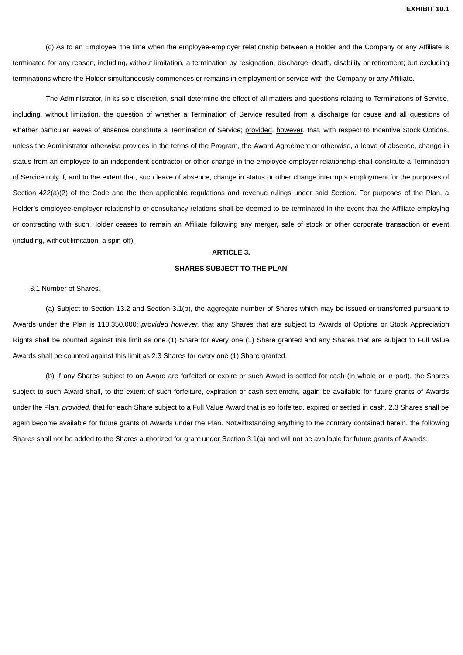(c) As to an Employee, the time when the employee-employer relationship between a Holder and the Company or any Affiliate is terminated for any reason, including, without limitation, a termination by resignation, discharge, death, disability or retirement; but excluding terminations where the Holder simultaneously commences or remains in employment or service with the Company or any Affiliate.

The Administrator, in its sole discretion, shall determine the effect of all matters and questions relating to Terminations of Service, including, without limitation, the question of whether a Termination of Service resulted from a discharge for cause and all questions of whether particular leaves of absence constitute a Termination of Service; provided, however, that, with respect to Incentive Stock Options, unless the Administrator otherwise provides in the terms of the Program, the Award Agreement or otherwise, a leave of absence, change in status from an employee to an independent contractor or other change in the employee-employer relationship shall constitute a Termination of Service only if, and to the extent that, such leave of absence, change in status or other change interrupts employment for the purposes of Section 422(a)(2) of the Code and the then applicable regulations and revenue rulings under said Section. For purposes of the Plan, a Holder's employee-employer relationship or consultancy relations shall be deemed to be terminated in the event that the Affiliate employing or contracting with such Holder ceases to remain an Affiliate following any merger, sale of stock or other corporate transaction or event (including, without limitation, a spin-off).

#### **ARTICLE 3.**

#### **SHARES SUBJECT TO THE PLAN**

#### 3.1 Number of Shares.

(a) Subject to Section 13.2 and Section 3.1(b), the aggregate number of Shares which may be issued or transferred pursuant to Awards under the Plan is 110,350,000; *provided however,* that any Shares that are subject to Awards of Options or Stock Appreciation Rights shall be counted against this limit as one (1) Share for every one (1) Share granted and any Shares that are subject to Full Value Awards shall be counted against this limit as 2.3 Shares for every one (1) Share granted.

(b) If any Shares subject to an Award are forfeited or expire or such Award is settled for cash (in whole or in part), the Shares subject to such Award shall, to the extent of such forfeiture, expiration or cash settlement, again be available for future grants of Awards under the Plan, *provided*, that for each Share subject to a Full Value Award that is so forfeited, expired or settled in cash, 2.3 Shares shall be again become available for future grants of Awards under the Plan. Notwithstanding anything to the contrary contained herein, the following Shares shall not be added to the Shares authorized for grant under Section 3.1(a) and will not be available for future grants of Awards: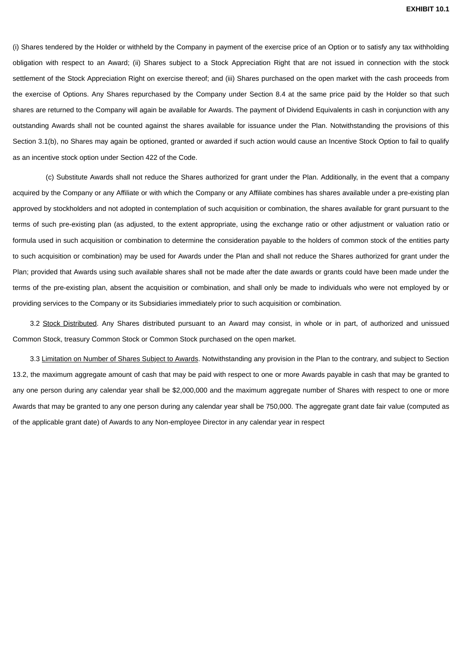(i) Shares tendered by the Holder or withheld by the Company in payment of the exercise price of an Option or to satisfy any tax withholding obligation with respect to an Award; (ii) Shares subject to a Stock Appreciation Right that are not issued in connection with the stock settlement of the Stock Appreciation Right on exercise thereof; and (iii) Shares purchased on the open market with the cash proceeds from the exercise of Options. Any Shares repurchased by the Company under Section 8.4 at the same price paid by the Holder so that such shares are returned to the Company will again be available for Awards. The payment of Dividend Equivalents in cash in conjunction with any outstanding Awards shall not be counted against the shares available for issuance under the Plan. Notwithstanding the provisions of this Section 3.1(b), no Shares may again be optioned, granted or awarded if such action would cause an Incentive Stock Option to fail to qualify as an incentive stock option under Section 422 of the Code.

(c) Substitute Awards shall not reduce the Shares authorized for grant under the Plan. Additionally, in the event that a company acquired by the Company or any Affiliate or with which the Company or any Affiliate combines has shares available under a pre-existing plan approved by stockholders and not adopted in contemplation of such acquisition or combination, the shares available for grant pursuant to the terms of such pre-existing plan (as adjusted, to the extent appropriate, using the exchange ratio or other adjustment or valuation ratio or formula used in such acquisition or combination to determine the consideration payable to the holders of common stock of the entities party to such acquisition or combination) may be used for Awards under the Plan and shall not reduce the Shares authorized for grant under the Plan; provided that Awards using such available shares shall not be made after the date awards or grants could have been made under the terms of the pre-existing plan, absent the acquisition or combination, and shall only be made to individuals who were not employed by or providing services to the Company or its Subsidiaries immediately prior to such acquisition or combination.

3.2 Stock Distributed. Any Shares distributed pursuant to an Award may consist, in whole or in part, of authorized and unissued Common Stock, treasury Common Stock or Common Stock purchased on the open market.

3.3 Limitation on Number of Shares Subject to Awards. Notwithstanding any provision in the Plan to the contrary, and subject to Section 13.2, the maximum aggregate amount of cash that may be paid with respect to one or more Awards payable in cash that may be granted to any one person during any calendar year shall be \$2,000,000 and the maximum aggregate number of Shares with respect to one or more Awards that may be granted to any one person during any calendar year shall be 750,000. The aggregate grant date fair value (computed as of the applicable grant date) of Awards to any Non-employee Director in any calendar year in respect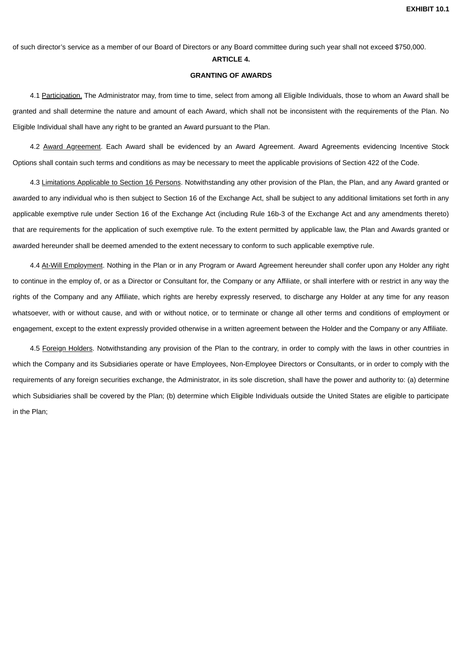of such director's service as a member of our Board of Directors or any Board committee during such year shall not exceed \$750,000. **ARTICLE 4.**

#### **GRANTING OF AWARDS**

4.1 Participation. The Administrator may, from time to time, select from among all Eligible Individuals, those to whom an Award shall be granted and shall determine the nature and amount of each Award, which shall not be inconsistent with the requirements of the Plan. No Eligible Individual shall have any right to be granted an Award pursuant to the Plan.

4.2 Award Agreement. Each Award shall be evidenced by an Award Agreement. Award Agreements evidencing Incentive Stock Options shall contain such terms and conditions as may be necessary to meet the applicable provisions of Section 422 of the Code.

4.3 Limitations Applicable to Section 16 Persons. Notwithstanding any other provision of the Plan, the Plan, and any Award granted or awarded to any individual who is then subject to Section 16 of the Exchange Act, shall be subject to any additional limitations set forth in any applicable exemptive rule under Section 16 of the Exchange Act (including Rule 16b-3 of the Exchange Act and any amendments thereto) that are requirements for the application of such exemptive rule. To the extent permitted by applicable law, the Plan and Awards granted or awarded hereunder shall be deemed amended to the extent necessary to conform to such applicable exemptive rule.

4.4 At-Will Employment. Nothing in the Plan or in any Program or Award Agreement hereunder shall confer upon any Holder any right to continue in the employ of, or as a Director or Consultant for, the Company or any Affiliate, or shall interfere with or restrict in any way the rights of the Company and any Affiliate, which rights are hereby expressly reserved, to discharge any Holder at any time for any reason whatsoever, with or without cause, and with or without notice, or to terminate or change all other terms and conditions of employment or engagement, except to the extent expressly provided otherwise in a written agreement between the Holder and the Company or any Affiliate.

4.5 Foreign Holders. Notwithstanding any provision of the Plan to the contrary, in order to comply with the laws in other countries in which the Company and its Subsidiaries operate or have Employees, Non-Employee Directors or Consultants, or in order to comply with the requirements of any foreign securities exchange, the Administrator, in its sole discretion, shall have the power and authority to: (a) determine which Subsidiaries shall be covered by the Plan; (b) determine which Eligible Individuals outside the United States are eligible to participate in the Plan;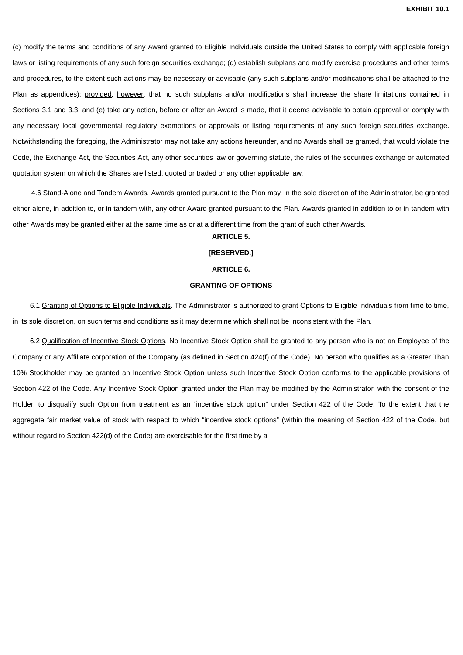(c) modify the terms and conditions of any Award granted to Eligible Individuals outside the United States to comply with applicable foreign laws or listing requirements of any such foreign securities exchange; (d) establish subplans and modify exercise procedures and other terms and procedures, to the extent such actions may be necessary or advisable (any such subplans and/or modifications shall be attached to the Plan as appendices); provided, however, that no such subplans and/or modifications shall increase the share limitations contained in Sections 3.1 and 3.3; and (e) take any action, before or after an Award is made, that it deems advisable to obtain approval or comply with any necessary local governmental regulatory exemptions or approvals or listing requirements of any such foreign securities exchange. Notwithstanding the foregoing, the Administrator may not take any actions hereunder, and no Awards shall be granted, that would violate the Code, the Exchange Act, the Securities Act, any other securities law or governing statute, the rules of the securities exchange or automated quotation system on which the Shares are listed, quoted or traded or any other applicable law.

4.6 Stand-Alone and Tandem Awards. Awards granted pursuant to the Plan may, in the sole discretion of the Administrator, be granted either alone, in addition to, or in tandem with, any other Award granted pursuant to the Plan. Awards granted in addition to or in tandem with other Awards may be granted either at the same time as or at a different time from the grant of such other Awards.

#### **ARTICLE 5.**

# **[RESERVED.]**

# **ARTICLE 6.**

# **GRANTING OF OPTIONS**

6.1 Granting of Options to Eligible Individuals. The Administrator is authorized to grant Options to Eligible Individuals from time to time, in its sole discretion, on such terms and conditions as it may determine which shall not be inconsistent with the Plan.

6.2 Qualification of Incentive Stock Options. No Incentive Stock Option shall be granted to any person who is not an Employee of the Company or any Affiliate corporation of the Company (as defined in Section 424(f) of the Code). No person who qualifies as a Greater Than 10% Stockholder may be granted an Incentive Stock Option unless such Incentive Stock Option conforms to the applicable provisions of Section 422 of the Code. Any Incentive Stock Option granted under the Plan may be modified by the Administrator, with the consent of the Holder, to disqualify such Option from treatment as an "incentive stock option" under Section 422 of the Code. To the extent that the aggregate fair market value of stock with respect to which "incentive stock options" (within the meaning of Section 422 of the Code, but without regard to Section 422(d) of the Code) are exercisable for the first time by a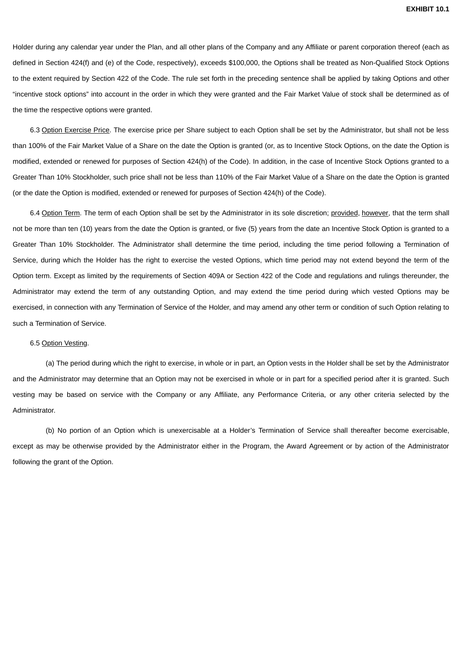Holder during any calendar year under the Plan, and all other plans of the Company and any Affiliate or parent corporation thereof (each as defined in Section 424(f) and (e) of the Code, respectively), exceeds \$100,000, the Options shall be treated as Non-Qualified Stock Options to the extent required by Section 422 of the Code. The rule set forth in the preceding sentence shall be applied by taking Options and other "incentive stock options" into account in the order in which they were granted and the Fair Market Value of stock shall be determined as of the time the respective options were granted.

6.3 Option Exercise Price. The exercise price per Share subject to each Option shall be set by the Administrator, but shall not be less than 100% of the Fair Market Value of a Share on the date the Option is granted (or, as to Incentive Stock Options, on the date the Option is modified, extended or renewed for purposes of Section 424(h) of the Code). In addition, in the case of Incentive Stock Options granted to a Greater Than 10% Stockholder, such price shall not be less than 110% of the Fair Market Value of a Share on the date the Option is granted (or the date the Option is modified, extended or renewed for purposes of Section 424(h) of the Code).

6.4 Option Term. The term of each Option shall be set by the Administrator in its sole discretion; provided, however, that the term shall not be more than ten (10) years from the date the Option is granted, or five (5) years from the date an Incentive Stock Option is granted to a Greater Than 10% Stockholder. The Administrator shall determine the time period, including the time period following a Termination of Service, during which the Holder has the right to exercise the vested Options, which time period may not extend beyond the term of the Option term. Except as limited by the requirements of Section 409A or Section 422 of the Code and regulations and rulings thereunder, the Administrator may extend the term of any outstanding Option, and may extend the time period during which vested Options may be exercised, in connection with any Termination of Service of the Holder, and may amend any other term or condition of such Option relating to such a Termination of Service.

#### 6.5 Option Vesting.

(a) The period during which the right to exercise, in whole or in part, an Option vests in the Holder shall be set by the Administrator and the Administrator may determine that an Option may not be exercised in whole or in part for a specified period after it is granted. Such vesting may be based on service with the Company or any Affiliate, any Performance Criteria, or any other criteria selected by the Administrator.

(b) No portion of an Option which is unexercisable at a Holder's Termination of Service shall thereafter become exercisable, except as may be otherwise provided by the Administrator either in the Program, the Award Agreement or by action of the Administrator following the grant of the Option.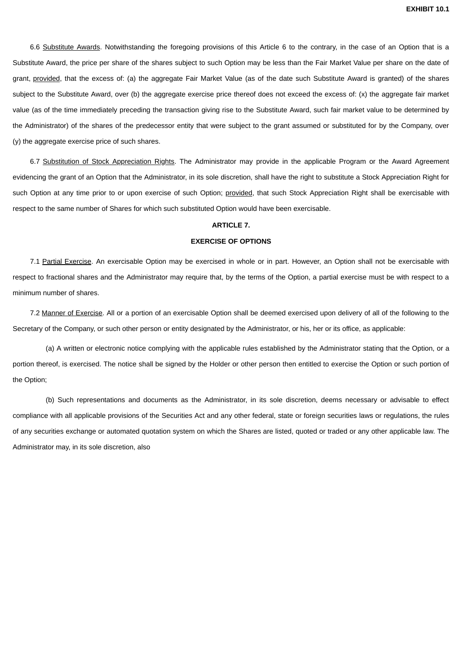6.6 Substitute Awards. Notwithstanding the foregoing provisions of this Article 6 to the contrary, in the case of an Option that is a Substitute Award, the price per share of the shares subject to such Option may be less than the Fair Market Value per share on the date of grant, provided, that the excess of: (a) the aggregate Fair Market Value (as of the date such Substitute Award is granted) of the shares subject to the Substitute Award, over (b) the aggregate exercise price thereof does not exceed the excess of: (x) the aggregate fair market value (as of the time immediately preceding the transaction giving rise to the Substitute Award, such fair market value to be determined by the Administrator) of the shares of the predecessor entity that were subject to the grant assumed or substituted for by the Company, over (y) the aggregate exercise price of such shares.

6.7 Substitution of Stock Appreciation Rights. The Administrator may provide in the applicable Program or the Award Agreement evidencing the grant of an Option that the Administrator, in its sole discretion, shall have the right to substitute a Stock Appreciation Right for such Option at any time prior to or upon exercise of such Option; provided, that such Stock Appreciation Right shall be exercisable with respect to the same number of Shares for which such substituted Option would have been exercisable.

# **ARTICLE 7.**

#### **EXERCISE OF OPTIONS**

7.1 Partial Exercise. An exercisable Option may be exercised in whole or in part. However, an Option shall not be exercisable with respect to fractional shares and the Administrator may require that, by the terms of the Option, a partial exercise must be with respect to a minimum number of shares.

7.2 Manner of Exercise. All or a portion of an exercisable Option shall be deemed exercised upon delivery of all of the following to the Secretary of the Company, or such other person or entity designated by the Administrator, or his, her or its office, as applicable:

(a) A written or electronic notice complying with the applicable rules established by the Administrator stating that the Option, or a portion thereof, is exercised. The notice shall be signed by the Holder or other person then entitled to exercise the Option or such portion of the Option;

(b) Such representations and documents as the Administrator, in its sole discretion, deems necessary or advisable to effect compliance with all applicable provisions of the Securities Act and any other federal, state or foreign securities laws or regulations, the rules of any securities exchange or automated quotation system on which the Shares are listed, quoted or traded or any other applicable law. The Administrator may, in its sole discretion, also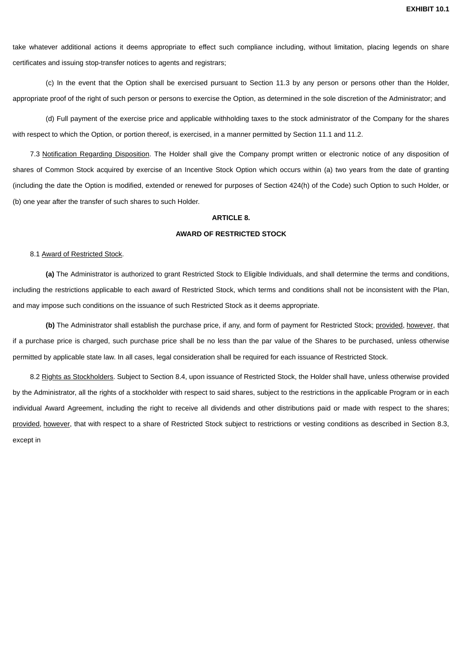take whatever additional actions it deems appropriate to effect such compliance including, without limitation, placing legends on share certificates and issuing stop-transfer notices to agents and registrars;

(c) In the event that the Option shall be exercised pursuant to Section 11.3 by any person or persons other than the Holder, appropriate proof of the right of such person or persons to exercise the Option, as determined in the sole discretion of the Administrator; and

(d) Full payment of the exercise price and applicable withholding taxes to the stock administrator of the Company for the shares with respect to which the Option, or portion thereof, is exercised, in a manner permitted by Section 11.1 and 11.2.

7.3 Notification Regarding Disposition. The Holder shall give the Company prompt written or electronic notice of any disposition of shares of Common Stock acquired by exercise of an Incentive Stock Option which occurs within (a) two years from the date of granting (including the date the Option is modified, extended or renewed for purposes of Section 424(h) of the Code) such Option to such Holder, or (b) one year after the transfer of such shares to such Holder.

# **ARTICLE 8.**

# **AWARD OF RESTRICTED STOCK**

#### 8.1 Award of Restricted Stock.

**(a)** The Administrator is authorized to grant Restricted Stock to Eligible Individuals, and shall determine the terms and conditions, including the restrictions applicable to each award of Restricted Stock, which terms and conditions shall not be inconsistent with the Plan, and may impose such conditions on the issuance of such Restricted Stock as it deems appropriate.

**(b)** The Administrator shall establish the purchase price, if any, and form of payment for Restricted Stock; provided, however, that if a purchase price is charged, such purchase price shall be no less than the par value of the Shares to be purchased, unless otherwise permitted by applicable state law. In all cases, legal consideration shall be required for each issuance of Restricted Stock.

8.2 Rights as Stockholders. Subject to Section 8.4, upon issuance of Restricted Stock, the Holder shall have, unless otherwise provided by the Administrator, all the rights of a stockholder with respect to said shares, subject to the restrictions in the applicable Program or in each individual Award Agreement, including the right to receive all dividends and other distributions paid or made with respect to the shares; provided, however, that with respect to a share of Restricted Stock subject to restrictions or vesting conditions as described in Section 8.3, except in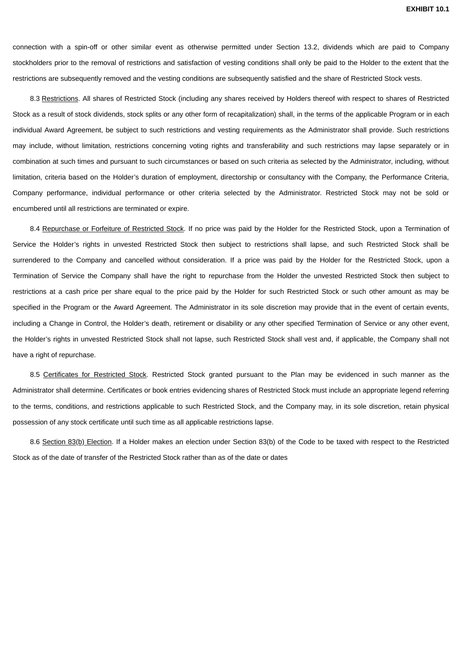connection with a spin-off or other similar event as otherwise permitted under Section 13.2, dividends which are paid to Company stockholders prior to the removal of restrictions and satisfaction of vesting conditions shall only be paid to the Holder to the extent that the restrictions are subsequently removed and the vesting conditions are subsequently satisfied and the share of Restricted Stock vests.

8.3 Restrictions. All shares of Restricted Stock (including any shares received by Holders thereof with respect to shares of Restricted Stock as a result of stock dividends, stock splits or any other form of recapitalization) shall, in the terms of the applicable Program or in each individual Award Agreement, be subject to such restrictions and vesting requirements as the Administrator shall provide. Such restrictions may include, without limitation, restrictions concerning voting rights and transferability and such restrictions may lapse separately or in combination at such times and pursuant to such circumstances or based on such criteria as selected by the Administrator, including, without limitation, criteria based on the Holder's duration of employment, directorship or consultancy with the Company, the Performance Criteria, Company performance, individual performance or other criteria selected by the Administrator. Restricted Stock may not be sold or encumbered until all restrictions are terminated or expire.

8.4 Repurchase or Forfeiture of Restricted Stock. If no price was paid by the Holder for the Restricted Stock, upon a Termination of Service the Holder's rights in unvested Restricted Stock then subject to restrictions shall lapse, and such Restricted Stock shall be surrendered to the Company and cancelled without consideration. If a price was paid by the Holder for the Restricted Stock, upon a Termination of Service the Company shall have the right to repurchase from the Holder the unvested Restricted Stock then subject to restrictions at a cash price per share equal to the price paid by the Holder for such Restricted Stock or such other amount as may be specified in the Program or the Award Agreement. The Administrator in its sole discretion may provide that in the event of certain events, including a Change in Control, the Holder's death, retirement or disability or any other specified Termination of Service or any other event, the Holder's rights in unvested Restricted Stock shall not lapse, such Restricted Stock shall vest and, if applicable, the Company shall not have a right of repurchase.

8.5 Certificates for Restricted Stock. Restricted Stock granted pursuant to the Plan may be evidenced in such manner as the Administrator shall determine. Certificates or book entries evidencing shares of Restricted Stock must include an appropriate legend referring to the terms, conditions, and restrictions applicable to such Restricted Stock, and the Company may, in its sole discretion, retain physical possession of any stock certificate until such time as all applicable restrictions lapse.

8.6 Section 83(b) Election. If a Holder makes an election under Section 83(b) of the Code to be taxed with respect to the Restricted Stock as of the date of transfer of the Restricted Stock rather than as of the date or dates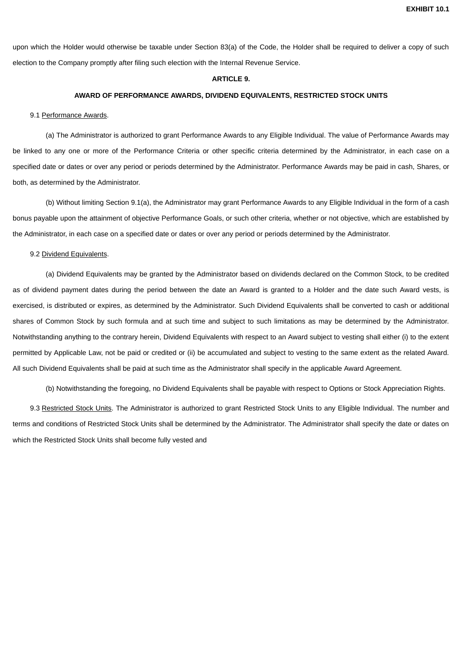upon which the Holder would otherwise be taxable under Section 83(a) of the Code, the Holder shall be required to deliver a copy of such election to the Company promptly after filing such election with the Internal Revenue Service.

#### **ARTICLE 9.**

#### **AWARD OF PERFORMANCE AWARDS, DIVIDEND EQUIVALENTS, RESTRICTED STOCK UNITS**

#### 9.1 Performance Awards.

(a) The Administrator is authorized to grant Performance Awards to any Eligible Individual. The value of Performance Awards may be linked to any one or more of the Performance Criteria or other specific criteria determined by the Administrator, in each case on a specified date or dates or over any period or periods determined by the Administrator. Performance Awards may be paid in cash, Shares, or both, as determined by the Administrator.

(b) Without limiting Section 9.1(a), the Administrator may grant Performance Awards to any Eligible Individual in the form of a cash bonus payable upon the attainment of objective Performance Goals, or such other criteria, whether or not objective, which are established by the Administrator, in each case on a specified date or dates or over any period or periods determined by the Administrator.

#### 9.2 Dividend Equivalents.

(a) Dividend Equivalents may be granted by the Administrator based on dividends declared on the Common Stock, to be credited as of dividend payment dates during the period between the date an Award is granted to a Holder and the date such Award vests, is exercised, is distributed or expires, as determined by the Administrator. Such Dividend Equivalents shall be converted to cash or additional shares of Common Stock by such formula and at such time and subject to such limitations as may be determined by the Administrator. Notwithstanding anything to the contrary herein, Dividend Equivalents with respect to an Award subject to vesting shall either (i) to the extent permitted by Applicable Law, not be paid or credited or (ii) be accumulated and subject to vesting to the same extent as the related Award. All such Dividend Equivalents shall be paid at such time as the Administrator shall specify in the applicable Award Agreement.

(b) Notwithstanding the foregoing, no Dividend Equivalents shall be payable with respect to Options or Stock Appreciation Rights.

9.3 Restricted Stock Units. The Administrator is authorized to grant Restricted Stock Units to any Eligible Individual. The number and terms and conditions of Restricted Stock Units shall be determined by the Administrator. The Administrator shall specify the date or dates on which the Restricted Stock Units shall become fully vested and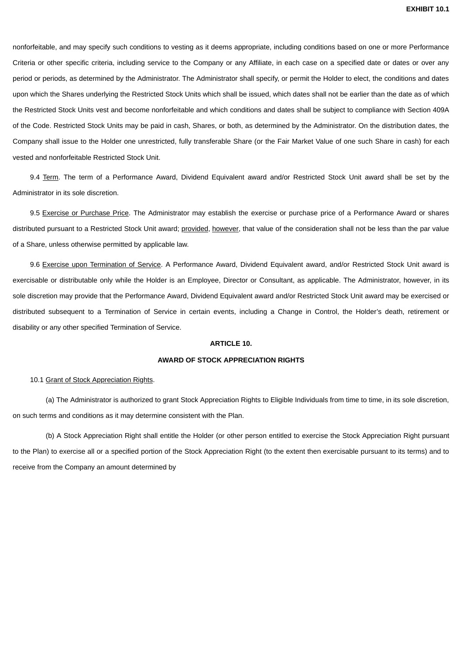nonforfeitable, and may specify such conditions to vesting as it deems appropriate, including conditions based on one or more Performance Criteria or other specific criteria, including service to the Company or any Affiliate, in each case on a specified date or dates or over any period or periods, as determined by the Administrator. The Administrator shall specify, or permit the Holder to elect, the conditions and dates upon which the Shares underlying the Restricted Stock Units which shall be issued, which dates shall not be earlier than the date as of which the Restricted Stock Units vest and become nonforfeitable and which conditions and dates shall be subject to compliance with Section 409A of the Code. Restricted Stock Units may be paid in cash, Shares, or both, as determined by the Administrator. On the distribution dates, the Company shall issue to the Holder one unrestricted, fully transferable Share (or the Fair Market Value of one such Share in cash) for each vested and nonforfeitable Restricted Stock Unit.

9.4 Term. The term of a Performance Award, Dividend Equivalent award and/or Restricted Stock Unit award shall be set by the Administrator in its sole discretion.

9.5 Exercise or Purchase Price. The Administrator may establish the exercise or purchase price of a Performance Award or shares distributed pursuant to a Restricted Stock Unit award; provided, however, that value of the consideration shall not be less than the par value of a Share, unless otherwise permitted by applicable law.

9.6 Exercise upon Termination of Service. A Performance Award, Dividend Equivalent award, and/or Restricted Stock Unit award is exercisable or distributable only while the Holder is an Employee, Director or Consultant, as applicable. The Administrator, however, in its sole discretion may provide that the Performance Award, Dividend Equivalent award and/or Restricted Stock Unit award may be exercised or distributed subsequent to a Termination of Service in certain events, including a Change in Control, the Holder's death, retirement or disability or any other specified Termination of Service.

#### **ARTICLE 10.**

#### **AWARD OF STOCK APPRECIATION RIGHTS**

#### 10.1 Grant of Stock Appreciation Rights.

(a) The Administrator is authorized to grant Stock Appreciation Rights to Eligible Individuals from time to time, in its sole discretion, on such terms and conditions as it may determine consistent with the Plan.

(b) A Stock Appreciation Right shall entitle the Holder (or other person entitled to exercise the Stock Appreciation Right pursuant to the Plan) to exercise all or a specified portion of the Stock Appreciation Right (to the extent then exercisable pursuant to its terms) and to receive from the Company an amount determined by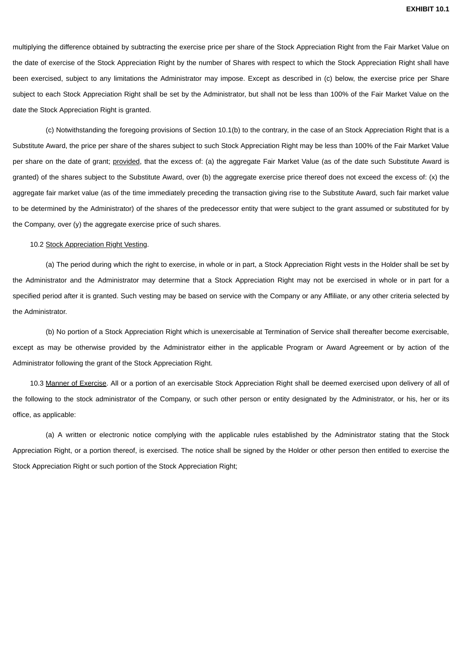multiplying the difference obtained by subtracting the exercise price per share of the Stock Appreciation Right from the Fair Market Value on the date of exercise of the Stock Appreciation Right by the number of Shares with respect to which the Stock Appreciation Right shall have been exercised, subject to any limitations the Administrator may impose. Except as described in (c) below, the exercise price per Share subject to each Stock Appreciation Right shall be set by the Administrator, but shall not be less than 100% of the Fair Market Value on the date the Stock Appreciation Right is granted.

(c) Notwithstanding the foregoing provisions of Section 10.1(b) to the contrary, in the case of an Stock Appreciation Right that is a Substitute Award, the price per share of the shares subject to such Stock Appreciation Right may be less than 100% of the Fair Market Value per share on the date of grant; provided, that the excess of: (a) the aggregate Fair Market Value (as of the date such Substitute Award is granted) of the shares subject to the Substitute Award, over (b) the aggregate exercise price thereof does not exceed the excess of: (x) the aggregate fair market value (as of the time immediately preceding the transaction giving rise to the Substitute Award, such fair market value to be determined by the Administrator) of the shares of the predecessor entity that were subject to the grant assumed or substituted for by the Company, over (y) the aggregate exercise price of such shares.

#### 10.2 Stock Appreciation Right Vesting.

(a) The period during which the right to exercise, in whole or in part, a Stock Appreciation Right vests in the Holder shall be set by the Administrator and the Administrator may determine that a Stock Appreciation Right may not be exercised in whole or in part for a specified period after it is granted. Such vesting may be based on service with the Company or any Affiliate, or any other criteria selected by the Administrator.

(b) No portion of a Stock Appreciation Right which is unexercisable at Termination of Service shall thereafter become exercisable, except as may be otherwise provided by the Administrator either in the applicable Program or Award Agreement or by action of the Administrator following the grant of the Stock Appreciation Right.

10.3 Manner of Exercise. All or a portion of an exercisable Stock Appreciation Right shall be deemed exercised upon delivery of all of the following to the stock administrator of the Company, or such other person or entity designated by the Administrator, or his, her or its office, as applicable:

(a) A written or electronic notice complying with the applicable rules established by the Administrator stating that the Stock Appreciation Right, or a portion thereof, is exercised. The notice shall be signed by the Holder or other person then entitled to exercise the Stock Appreciation Right or such portion of the Stock Appreciation Right;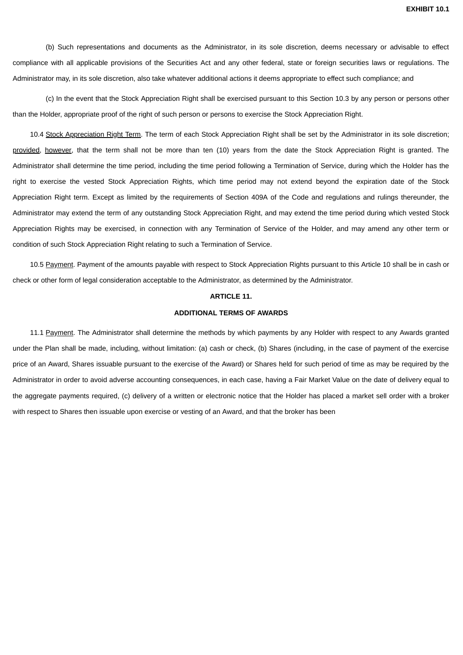(b) Such representations and documents as the Administrator, in its sole discretion, deems necessary or advisable to effect compliance with all applicable provisions of the Securities Act and any other federal, state or foreign securities laws or regulations. The Administrator may, in its sole discretion, also take whatever additional actions it deems appropriate to effect such compliance; and

(c) In the event that the Stock Appreciation Right shall be exercised pursuant to this Section 10.3 by any person or persons other than the Holder, appropriate proof of the right of such person or persons to exercise the Stock Appreciation Right.

10.4 Stock Appreciation Right Term. The term of each Stock Appreciation Right shall be set by the Administrator in its sole discretion; provided, however, that the term shall not be more than ten (10) years from the date the Stock Appreciation Right is granted. The Administrator shall determine the time period, including the time period following a Termination of Service, during which the Holder has the right to exercise the vested Stock Appreciation Rights, which time period may not extend beyond the expiration date of the Stock Appreciation Right term. Except as limited by the requirements of Section 409A of the Code and regulations and rulings thereunder, the Administrator may extend the term of any outstanding Stock Appreciation Right, and may extend the time period during which vested Stock Appreciation Rights may be exercised, in connection with any Termination of Service of the Holder, and may amend any other term or condition of such Stock Appreciation Right relating to such a Termination of Service.

10.5 Payment. Payment of the amounts payable with respect to Stock Appreciation Rights pursuant to this Article 10 shall be in cash or check or other form of legal consideration acceptable to the Administrator, as determined by the Administrator.

#### **ARTICLE 11.**

#### **ADDITIONAL TERMS OF AWARDS**

11.1 Payment. The Administrator shall determine the methods by which payments by any Holder with respect to any Awards granted under the Plan shall be made, including, without limitation: (a) cash or check, (b) Shares (including, in the case of payment of the exercise price of an Award, Shares issuable pursuant to the exercise of the Award) or Shares held for such period of time as may be required by the Administrator in order to avoid adverse accounting consequences, in each case, having a Fair Market Value on the date of delivery equal to the aggregate payments required, (c) delivery of a written or electronic notice that the Holder has placed a market sell order with a broker with respect to Shares then issuable upon exercise or vesting of an Award, and that the broker has been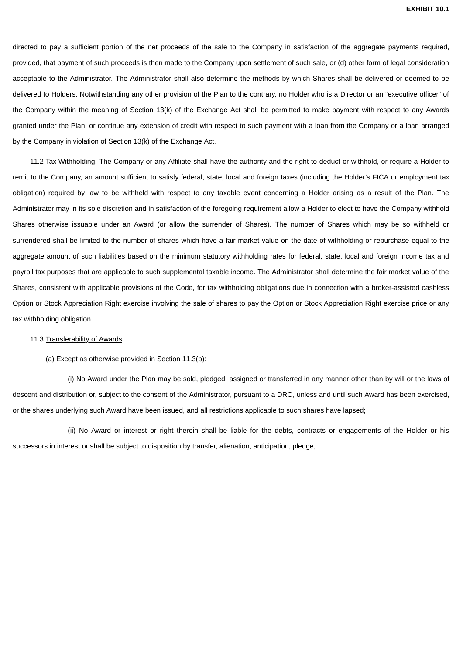directed to pay a sufficient portion of the net proceeds of the sale to the Company in satisfaction of the aggregate payments required, provided, that payment of such proceeds is then made to the Company upon settlement of such sale, or (d) other form of legal consideration acceptable to the Administrator. The Administrator shall also determine the methods by which Shares shall be delivered or deemed to be delivered to Holders. Notwithstanding any other provision of the Plan to the contrary, no Holder who is a Director or an "executive officer" of the Company within the meaning of Section 13(k) of the Exchange Act shall be permitted to make payment with respect to any Awards granted under the Plan, or continue any extension of credit with respect to such payment with a loan from the Company or a loan arranged by the Company in violation of Section 13(k) of the Exchange Act.

11.2 Tax Withholding. The Company or any Affiliate shall have the authority and the right to deduct or withhold, or require a Holder to remit to the Company, an amount sufficient to satisfy federal, state, local and foreign taxes (including the Holder's FICA or employment tax obligation) required by law to be withheld with respect to any taxable event concerning a Holder arising as a result of the Plan. The Administrator may in its sole discretion and in satisfaction of the foregoing requirement allow a Holder to elect to have the Company withhold Shares otherwise issuable under an Award (or allow the surrender of Shares). The number of Shares which may be so withheld or surrendered shall be limited to the number of shares which have a fair market value on the date of withholding or repurchase equal to the aggregate amount of such liabilities based on the minimum statutory withholding rates for federal, state, local and foreign income tax and payroll tax purposes that are applicable to such supplemental taxable income. The Administrator shall determine the fair market value of the Shares, consistent with applicable provisions of the Code, for tax withholding obligations due in connection with a broker-assisted cashless Option or Stock Appreciation Right exercise involving the sale of shares to pay the Option or Stock Appreciation Right exercise price or any tax withholding obligation.

# 11.3 Transferability of Awards.

# (a) Except as otherwise provided in Section 11.3(b):

(i) No Award under the Plan may be sold, pledged, assigned or transferred in any manner other than by will or the laws of descent and distribution or, subject to the consent of the Administrator, pursuant to a DRO, unless and until such Award has been exercised, or the shares underlying such Award have been issued, and all restrictions applicable to such shares have lapsed;

(ii) No Award or interest or right therein shall be liable for the debts, contracts or engagements of the Holder or his successors in interest or shall be subject to disposition by transfer, alienation, anticipation, pledge,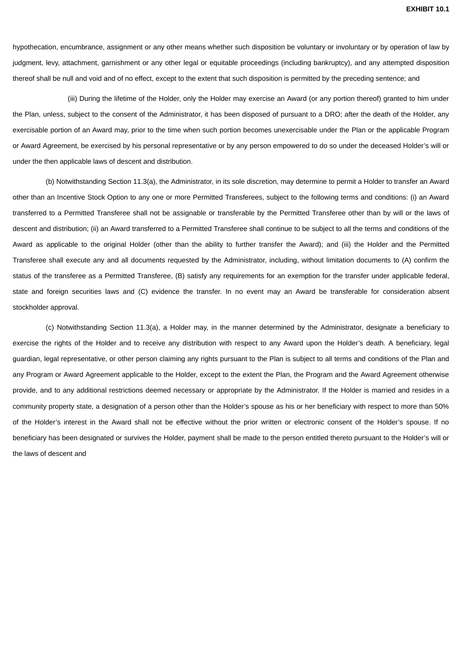hypothecation, encumbrance, assignment or any other means whether such disposition be voluntary or involuntary or by operation of law by judgment, levy, attachment, garnishment or any other legal or equitable proceedings (including bankruptcy), and any attempted disposition thereof shall be null and void and of no effect, except to the extent that such disposition is permitted by the preceding sentence; and

(iii) During the lifetime of the Holder, only the Holder may exercise an Award (or any portion thereof) granted to him under the Plan, unless, subject to the consent of the Administrator, it has been disposed of pursuant to a DRO; after the death of the Holder, any exercisable portion of an Award may, prior to the time when such portion becomes unexercisable under the Plan or the applicable Program or Award Agreement, be exercised by his personal representative or by any person empowered to do so under the deceased Holder's will or under the then applicable laws of descent and distribution.

(b) Notwithstanding Section 11.3(a), the Administrator, in its sole discretion, may determine to permit a Holder to transfer an Award other than an Incentive Stock Option to any one or more Permitted Transferees, subject to the following terms and conditions: (i) an Award transferred to a Permitted Transferee shall not be assignable or transferable by the Permitted Transferee other than by will or the laws of descent and distribution; (ii) an Award transferred to a Permitted Transferee shall continue to be subject to all the terms and conditions of the Award as applicable to the original Holder (other than the ability to further transfer the Award); and (iii) the Holder and the Permitted Transferee shall execute any and all documents requested by the Administrator, including, without limitation documents to (A) confirm the status of the transferee as a Permitted Transferee, (B) satisfy any requirements for an exemption for the transfer under applicable federal, state and foreign securities laws and (C) evidence the transfer. In no event may an Award be transferable for consideration absent stockholder approval.

(c) Notwithstanding Section 11.3(a), a Holder may, in the manner determined by the Administrator, designate a beneficiary to exercise the rights of the Holder and to receive any distribution with respect to any Award upon the Holder's death. A beneficiary, legal guardian, legal representative, or other person claiming any rights pursuant to the Plan is subject to all terms and conditions of the Plan and any Program or Award Agreement applicable to the Holder, except to the extent the Plan, the Program and the Award Agreement otherwise provide, and to any additional restrictions deemed necessary or appropriate by the Administrator. If the Holder is married and resides in a community property state, a designation of a person other than the Holder's spouse as his or her beneficiary with respect to more than 50% of the Holder's interest in the Award shall not be effective without the prior written or electronic consent of the Holder's spouse. If no beneficiary has been designated or survives the Holder, payment shall be made to the person entitled thereto pursuant to the Holder's will or the laws of descent and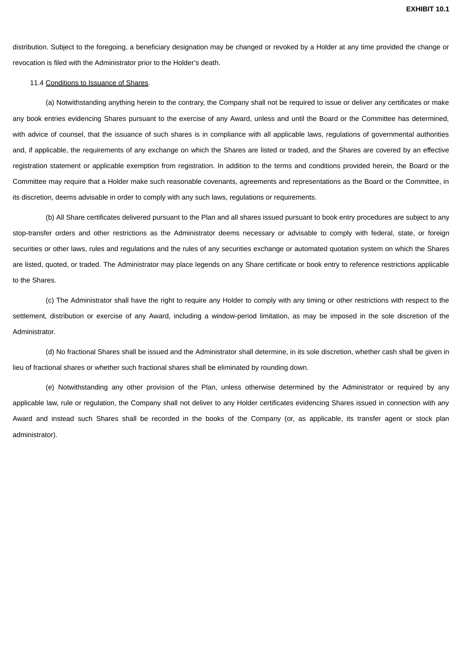**EXHIBIT 10.1**

distribution. Subject to the foregoing, a beneficiary designation may be changed or revoked by a Holder at any time provided the change or revocation is filed with the Administrator prior to the Holder's death.

#### 11.4 Conditions to Issuance of Shares.

(a) Notwithstanding anything herein to the contrary, the Company shall not be required to issue or deliver any certificates or make any book entries evidencing Shares pursuant to the exercise of any Award, unless and until the Board or the Committee has determined, with advice of counsel, that the issuance of such shares is in compliance with all applicable laws, regulations of governmental authorities and, if applicable, the requirements of any exchange on which the Shares are listed or traded, and the Shares are covered by an effective registration statement or applicable exemption from registration. In addition to the terms and conditions provided herein, the Board or the Committee may require that a Holder make such reasonable covenants, agreements and representations as the Board or the Committee, in its discretion, deems advisable in order to comply with any such laws, regulations or requirements.

(b) All Share certificates delivered pursuant to the Plan and all shares issued pursuant to book entry procedures are subject to any stop-transfer orders and other restrictions as the Administrator deems necessary or advisable to comply with federal, state, or foreign securities or other laws, rules and regulations and the rules of any securities exchange or automated quotation system on which the Shares are listed, quoted, or traded. The Administrator may place legends on any Share certificate or book entry to reference restrictions applicable to the Shares.

(c) The Administrator shall have the right to require any Holder to comply with any timing or other restrictions with respect to the settlement, distribution or exercise of any Award, including a window-period limitation, as may be imposed in the sole discretion of the Administrator.

(d) No fractional Shares shall be issued and the Administrator shall determine, in its sole discretion, whether cash shall be given in lieu of fractional shares or whether such fractional shares shall be eliminated by rounding down.

(e) Notwithstanding any other provision of the Plan, unless otherwise determined by the Administrator or required by any applicable law, rule or regulation, the Company shall not deliver to any Holder certificates evidencing Shares issued in connection with any Award and instead such Shares shall be recorded in the books of the Company (or, as applicable, its transfer agent or stock plan administrator).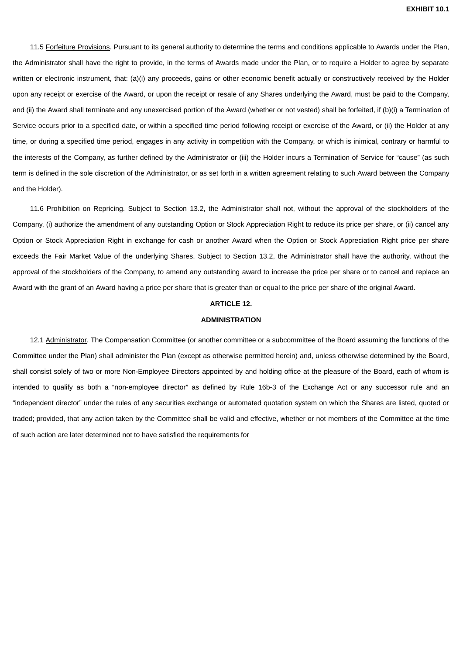11.5 Forfeiture Provisions. Pursuant to its general authority to determine the terms and conditions applicable to Awards under the Plan, the Administrator shall have the right to provide, in the terms of Awards made under the Plan, or to require a Holder to agree by separate written or electronic instrument, that: (a)(i) any proceeds, gains or other economic benefit actually or constructively received by the Holder upon any receipt or exercise of the Award, or upon the receipt or resale of any Shares underlying the Award, must be paid to the Company, and (ii) the Award shall terminate and any unexercised portion of the Award (whether or not vested) shall be forfeited, if (b)(i) a Termination of Service occurs prior to a specified date, or within a specified time period following receipt or exercise of the Award, or (ii) the Holder at any time, or during a specified time period, engages in any activity in competition with the Company, or which is inimical, contrary or harmful to the interests of the Company, as further defined by the Administrator or (iii) the Holder incurs a Termination of Service for "cause" (as such term is defined in the sole discretion of the Administrator, or as set forth in a written agreement relating to such Award between the Company and the Holder).

11.6 Prohibition on Repricing. Subject to Section 13.2, the Administrator shall not, without the approval of the stockholders of the Company, (i) authorize the amendment of any outstanding Option or Stock Appreciation Right to reduce its price per share, or (ii) cancel any Option or Stock Appreciation Right in exchange for cash or another Award when the Option or Stock Appreciation Right price per share exceeds the Fair Market Value of the underlying Shares. Subject to Section 13.2, the Administrator shall have the authority, without the approval of the stockholders of the Company, to amend any outstanding award to increase the price per share or to cancel and replace an Award with the grant of an Award having a price per share that is greater than or equal to the price per share of the original Award.

# **ARTICLE 12.**

#### **ADMINISTRATION**

12.1 Administrator. The Compensation Committee (or another committee or a subcommittee of the Board assuming the functions of the Committee under the Plan) shall administer the Plan (except as otherwise permitted herein) and, unless otherwise determined by the Board, shall consist solely of two or more Non-Employee Directors appointed by and holding office at the pleasure of the Board, each of whom is intended to qualify as both a "non-employee director" as defined by Rule 16b-3 of the Exchange Act or any successor rule and an "independent director" under the rules of any securities exchange or automated quotation system on which the Shares are listed, quoted or traded; provided, that any action taken by the Committee shall be valid and effective, whether or not members of the Committee at the time of such action are later determined not to have satisfied the requirements for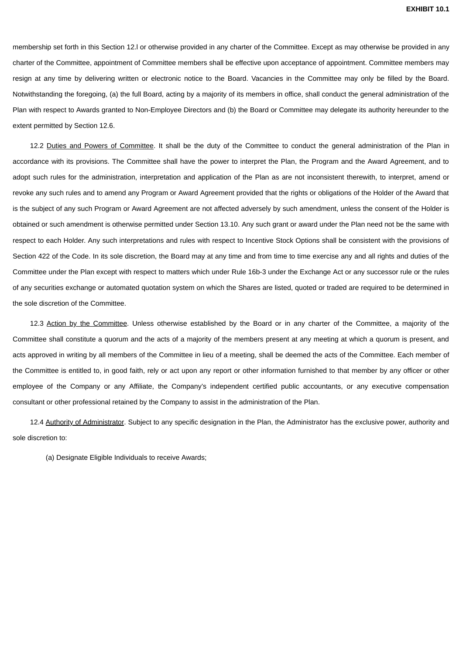membership set forth in this Section 12.l or otherwise provided in any charter of the Committee. Except as may otherwise be provided in any charter of the Committee, appointment of Committee members shall be effective upon acceptance of appointment. Committee members may resign at any time by delivering written or electronic notice to the Board. Vacancies in the Committee may only be filled by the Board. Notwithstanding the foregoing, (a) the full Board, acting by a majority of its members in office, shall conduct the general administration of the Plan with respect to Awards granted to Non-Employee Directors and (b) the Board or Committee may delegate its authority hereunder to the extent permitted by Section 12.6.

12.2 Duties and Powers of Committee. It shall be the duty of the Committee to conduct the general administration of the Plan in accordance with its provisions. The Committee shall have the power to interpret the Plan, the Program and the Award Agreement, and to adopt such rules for the administration, interpretation and application of the Plan as are not inconsistent therewith, to interpret, amend or revoke any such rules and to amend any Program or Award Agreement provided that the rights or obligations of the Holder of the Award that is the subject of any such Program or Award Agreement are not affected adversely by such amendment, unless the consent of the Holder is obtained or such amendment is otherwise permitted under Section 13.10. Any such grant or award under the Plan need not be the same with respect to each Holder. Any such interpretations and rules with respect to Incentive Stock Options shall be consistent with the provisions of Section 422 of the Code. In its sole discretion, the Board may at any time and from time to time exercise any and all rights and duties of the Committee under the Plan except with respect to matters which under Rule 16b-3 under the Exchange Act or any successor rule or the rules of any securities exchange or automated quotation system on which the Shares are listed, quoted or traded are required to be determined in the sole discretion of the Committee.

12.3 Action by the Committee. Unless otherwise established by the Board or in any charter of the Committee, a majority of the Committee shall constitute a quorum and the acts of a majority of the members present at any meeting at which a quorum is present, and acts approved in writing by all members of the Committee in lieu of a meeting, shall be deemed the acts of the Committee. Each member of the Committee is entitled to, in good faith, rely or act upon any report or other information furnished to that member by any officer or other employee of the Company or any Affiliate, the Company's independent certified public accountants, or any executive compensation consultant or other professional retained by the Company to assist in the administration of the Plan.

12.4 Authority of Administrator. Subject to any specific designation in the Plan, the Administrator has the exclusive power, authority and sole discretion to:

(a) Designate Eligible Individuals to receive Awards;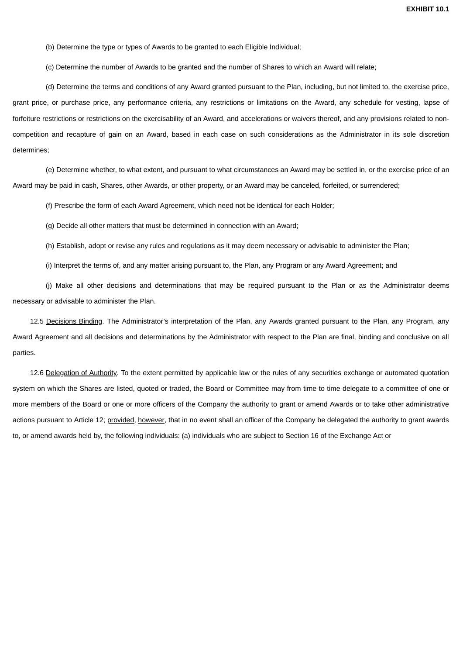(b) Determine the type or types of Awards to be granted to each Eligible Individual;

(c) Determine the number of Awards to be granted and the number of Shares to which an Award will relate;

(d) Determine the terms and conditions of any Award granted pursuant to the Plan, including, but not limited to, the exercise price, grant price, or purchase price, any performance criteria, any restrictions or limitations on the Award, any schedule for vesting, lapse of forfeiture restrictions or restrictions on the exercisability of an Award, and accelerations or waivers thereof, and any provisions related to noncompetition and recapture of gain on an Award, based in each case on such considerations as the Administrator in its sole discretion determines;

(e) Determine whether, to what extent, and pursuant to what circumstances an Award may be settled in, or the exercise price of an Award may be paid in cash, Shares, other Awards, or other property, or an Award may be canceled, forfeited, or surrendered;

(f) Prescribe the form of each Award Agreement, which need not be identical for each Holder;

(g) Decide all other matters that must be determined in connection with an Award;

(h) Establish, adopt or revise any rules and regulations as it may deem necessary or advisable to administer the Plan;

(i) Interpret the terms of, and any matter arising pursuant to, the Plan, any Program or any Award Agreement; and

(j) Make all other decisions and determinations that may be required pursuant to the Plan or as the Administrator deems necessary or advisable to administer the Plan.

12.5 Decisions Binding. The Administrator's interpretation of the Plan, any Awards granted pursuant to the Plan, any Program, any Award Agreement and all decisions and determinations by the Administrator with respect to the Plan are final, binding and conclusive on all parties.

12.6 Delegation of Authority. To the extent permitted by applicable law or the rules of any securities exchange or automated quotation system on which the Shares are listed, quoted or traded, the Board or Committee may from time to time delegate to a committee of one or more members of the Board or one or more officers of the Company the authority to grant or amend Awards or to take other administrative actions pursuant to Article 12; provided, however, that in no event shall an officer of the Company be delegated the authority to grant awards to, or amend awards held by, the following individuals: (a) individuals who are subject to Section 16 of the Exchange Act or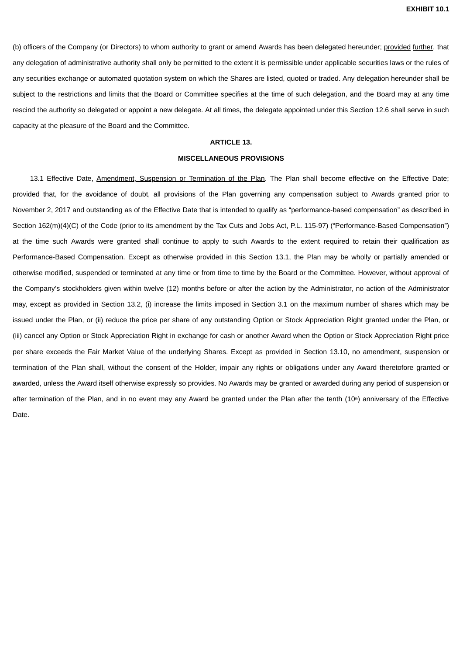(b) officers of the Company (or Directors) to whom authority to grant or amend Awards has been delegated hereunder; provided further, that any delegation of administrative authority shall only be permitted to the extent it is permissible under applicable securities laws or the rules of any securities exchange or automated quotation system on which the Shares are listed, quoted or traded. Any delegation hereunder shall be subject to the restrictions and limits that the Board or Committee specifies at the time of such delegation, and the Board may at any time rescind the authority so delegated or appoint a new delegate. At all times, the delegate appointed under this Section 12.6 shall serve in such capacity at the pleasure of the Board and the Committee.

#### **ARTICLE 13.**

#### **MISCELLANEOUS PROVISIONS**

13.1 Effective Date, Amendment, Suspension or Termination of the Plan. The Plan shall become effective on the Effective Date; provided that, for the avoidance of doubt, all provisions of the Plan governing any compensation subject to Awards granted prior to November 2, 2017 and outstanding as of the Effective Date that is intended to qualify as "performance-based compensation" as described in Section 162(m)(4)(C) of the Code (prior to its amendment by the Tax Cuts and Jobs Act, P.L. 115-97) ("Performance-Based Compensation") at the time such Awards were granted shall continue to apply to such Awards to the extent required to retain their qualification as Performance-Based Compensation. Except as otherwise provided in this Section 13.1, the Plan may be wholly or partially amended or otherwise modified, suspended or terminated at any time or from time to time by the Board or the Committee. However, without approval of the Company's stockholders given within twelve (12) months before or after the action by the Administrator, no action of the Administrator may, except as provided in Section 13.2, (i) increase the limits imposed in Section 3.1 on the maximum number of shares which may be issued under the Plan, or (ii) reduce the price per share of any outstanding Option or Stock Appreciation Right granted under the Plan, or (iii) cancel any Option or Stock Appreciation Right in exchange for cash or another Award when the Option or Stock Appreciation Right price per share exceeds the Fair Market Value of the underlying Shares. Except as provided in Section 13.10, no amendment, suspension or termination of the Plan shall, without the consent of the Holder, impair any rights or obligations under any Award theretofore granted or awarded, unless the Award itself otherwise expressly so provides. No Awards may be granted or awarded during any period of suspension or after termination of the Plan, and in no event may any Award be granted under the Plan after the tenth (10<sup>®</sup>) anniversary of the Effective Date.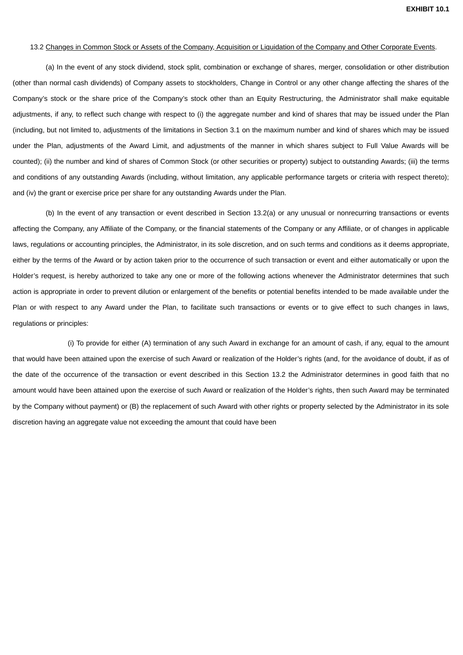### 13.2 Changes in Common Stock or Assets of the Company, Acquisition or Liquidation of the Company and Other Corporate Events.

(a) In the event of any stock dividend, stock split, combination or exchange of shares, merger, consolidation or other distribution (other than normal cash dividends) of Company assets to stockholders, Change in Control or any other change affecting the shares of the Company's stock or the share price of the Company's stock other than an Equity Restructuring, the Administrator shall make equitable adjustments, if any, to reflect such change with respect to (i) the aggregate number and kind of shares that may be issued under the Plan (including, but not limited to, adjustments of the limitations in Section 3.1 on the maximum number and kind of shares which may be issued under the Plan, adjustments of the Award Limit, and adjustments of the manner in which shares subject to Full Value Awards will be counted); (ii) the number and kind of shares of Common Stock (or other securities or property) subject to outstanding Awards; (iii) the terms and conditions of any outstanding Awards (including, without limitation, any applicable performance targets or criteria with respect thereto); and (iv) the grant or exercise price per share for any outstanding Awards under the Plan.

(b) In the event of any transaction or event described in Section 13.2(a) or any unusual or nonrecurring transactions or events affecting the Company, any Affiliate of the Company, or the financial statements of the Company or any Affiliate, or of changes in applicable laws, regulations or accounting principles, the Administrator, in its sole discretion, and on such terms and conditions as it deems appropriate, either by the terms of the Award or by action taken prior to the occurrence of such transaction or event and either automatically or upon the Holder's request, is hereby authorized to take any one or more of the following actions whenever the Administrator determines that such action is appropriate in order to prevent dilution or enlargement of the benefits or potential benefits intended to be made available under the Plan or with respect to any Award under the Plan, to facilitate such transactions or events or to give effect to such changes in laws, regulations or principles:

(i) To provide for either (A) termination of any such Award in exchange for an amount of cash, if any, equal to the amount that would have been attained upon the exercise of such Award or realization of the Holder's rights (and, for the avoidance of doubt, if as of the date of the occurrence of the transaction or event described in this Section 13.2 the Administrator determines in good faith that no amount would have been attained upon the exercise of such Award or realization of the Holder's rights, then such Award may be terminated by the Company without payment) or (B) the replacement of such Award with other rights or property selected by the Administrator in its sole discretion having an aggregate value not exceeding the amount that could have been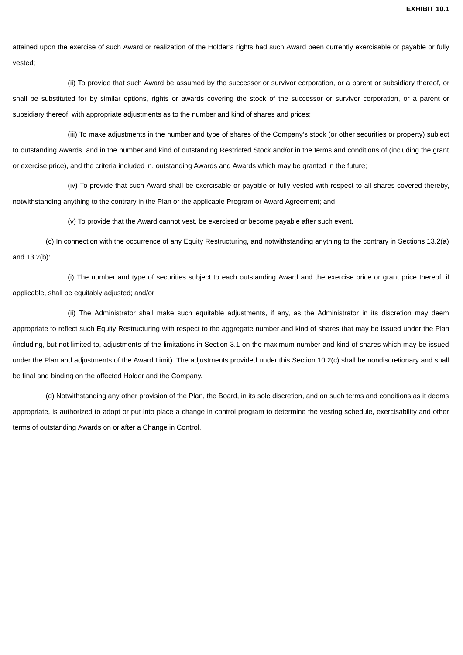attained upon the exercise of such Award or realization of the Holder's rights had such Award been currently exercisable or payable or fully vested;

(ii) To provide that such Award be assumed by the successor or survivor corporation, or a parent or subsidiary thereof, or shall be substituted for by similar options, rights or awards covering the stock of the successor or survivor corporation, or a parent or subsidiary thereof, with appropriate adjustments as to the number and kind of shares and prices;

(iii) To make adjustments in the number and type of shares of the Company's stock (or other securities or property) subject to outstanding Awards, and in the number and kind of outstanding Restricted Stock and/or in the terms and conditions of (including the grant or exercise price), and the criteria included in, outstanding Awards and Awards which may be granted in the future;

(iv) To provide that such Award shall be exercisable or payable or fully vested with respect to all shares covered thereby, notwithstanding anything to the contrary in the Plan or the applicable Program or Award Agreement; and

(v) To provide that the Award cannot vest, be exercised or become payable after such event.

(c) In connection with the occurrence of any Equity Restructuring, and notwithstanding anything to the contrary in Sections 13.2(a) and 13.2(b):

(i) The number and type of securities subject to each outstanding Award and the exercise price or grant price thereof, if applicable, shall be equitably adjusted; and/or

(ii) The Administrator shall make such equitable adjustments, if any, as the Administrator in its discretion may deem appropriate to reflect such Equity Restructuring with respect to the aggregate number and kind of shares that may be issued under the Plan (including, but not limited to, adjustments of the limitations in Section 3.1 on the maximum number and kind of shares which may be issued under the Plan and adjustments of the Award Limit). The adjustments provided under this Section 10.2(c) shall be nondiscretionary and shall be final and binding on the affected Holder and the Company.

(d) Notwithstanding any other provision of the Plan, the Board, in its sole discretion, and on such terms and conditions as it deems appropriate, is authorized to adopt or put into place a change in control program to determine the vesting schedule, exercisability and other terms of outstanding Awards on or after a Change in Control.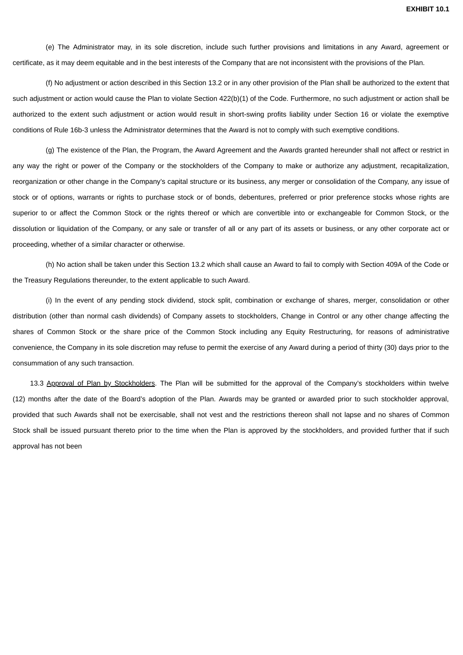(e) The Administrator may, in its sole discretion, include such further provisions and limitations in any Award, agreement or certificate, as it may deem equitable and in the best interests of the Company that are not inconsistent with the provisions of the Plan.

(f) No adjustment or action described in this Section 13.2 or in any other provision of the Plan shall be authorized to the extent that such adjustment or action would cause the Plan to violate Section 422(b)(1) of the Code. Furthermore, no such adjustment or action shall be authorized to the extent such adjustment or action would result in short-swing profits liability under Section 16 or violate the exemptive conditions of Rule 16b-3 unless the Administrator determines that the Award is not to comply with such exemptive conditions.

(g) The existence of the Plan, the Program, the Award Agreement and the Awards granted hereunder shall not affect or restrict in any way the right or power of the Company or the stockholders of the Company to make or authorize any adjustment, recapitalization, reorganization or other change in the Company's capital structure or its business, any merger or consolidation of the Company, any issue of stock or of options, warrants or rights to purchase stock or of bonds, debentures, preferred or prior preference stocks whose rights are superior to or affect the Common Stock or the rights thereof or which are convertible into or exchangeable for Common Stock, or the dissolution or liquidation of the Company, or any sale or transfer of all or any part of its assets or business, or any other corporate act or proceeding, whether of a similar character or otherwise.

(h) No action shall be taken under this Section 13.2 which shall cause an Award to fail to comply with Section 409A of the Code or the Treasury Regulations thereunder, to the extent applicable to such Award.

(i) In the event of any pending stock dividend, stock split, combination or exchange of shares, merger, consolidation or other distribution (other than normal cash dividends) of Company assets to stockholders, Change in Control or any other change affecting the shares of Common Stock or the share price of the Common Stock including any Equity Restructuring, for reasons of administrative convenience, the Company in its sole discretion may refuse to permit the exercise of any Award during a period of thirty (30) days prior to the consummation of any such transaction.

13.3 Approval of Plan by Stockholders. The Plan will be submitted for the approval of the Company's stockholders within twelve (12) months after the date of the Board's adoption of the Plan. Awards may be granted or awarded prior to such stockholder approval, provided that such Awards shall not be exercisable, shall not vest and the restrictions thereon shall not lapse and no shares of Common Stock shall be issued pursuant thereto prior to the time when the Plan is approved by the stockholders, and provided further that if such approval has not been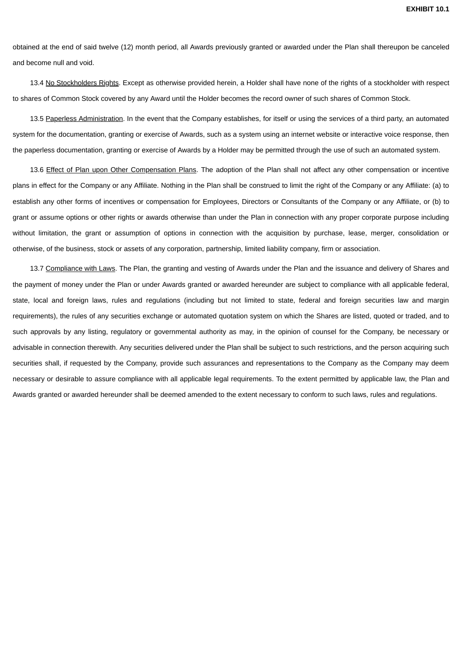obtained at the end of said twelve (12) month period, all Awards previously granted or awarded under the Plan shall thereupon be canceled and become null and void.

13.4 No Stockholders Rights. Except as otherwise provided herein, a Holder shall have none of the rights of a stockholder with respect to shares of Common Stock covered by any Award until the Holder becomes the record owner of such shares of Common Stock.

13.5 Paperless Administration. In the event that the Company establishes, for itself or using the services of a third party, an automated system for the documentation, granting or exercise of Awards, such as a system using an internet website or interactive voice response, then the paperless documentation, granting or exercise of Awards by a Holder may be permitted through the use of such an automated system.

13.6 Effect of Plan upon Other Compensation Plans. The adoption of the Plan shall not affect any other compensation or incentive plans in effect for the Company or any Affiliate. Nothing in the Plan shall be construed to limit the right of the Company or any Affiliate: (a) to establish any other forms of incentives or compensation for Employees, Directors or Consultants of the Company or any Affiliate, or (b) to grant or assume options or other rights or awards otherwise than under the Plan in connection with any proper corporate purpose including without limitation, the grant or assumption of options in connection with the acquisition by purchase, lease, merger, consolidation or otherwise, of the business, stock or assets of any corporation, partnership, limited liability company, firm or association.

13.7 Compliance with Laws. The Plan, the granting and vesting of Awards under the Plan and the issuance and delivery of Shares and the payment of money under the Plan or under Awards granted or awarded hereunder are subject to compliance with all applicable federal, state, local and foreign laws, rules and regulations (including but not limited to state, federal and foreign securities law and margin requirements), the rules of any securities exchange or automated quotation system on which the Shares are listed, quoted or traded, and to such approvals by any listing, regulatory or governmental authority as may, in the opinion of counsel for the Company, be necessary or advisable in connection therewith. Any securities delivered under the Plan shall be subject to such restrictions, and the person acquiring such securities shall, if requested by the Company, provide such assurances and representations to the Company as the Company may deem necessary or desirable to assure compliance with all applicable legal requirements. To the extent permitted by applicable law, the Plan and Awards granted or awarded hereunder shall be deemed amended to the extent necessary to conform to such laws, rules and regulations.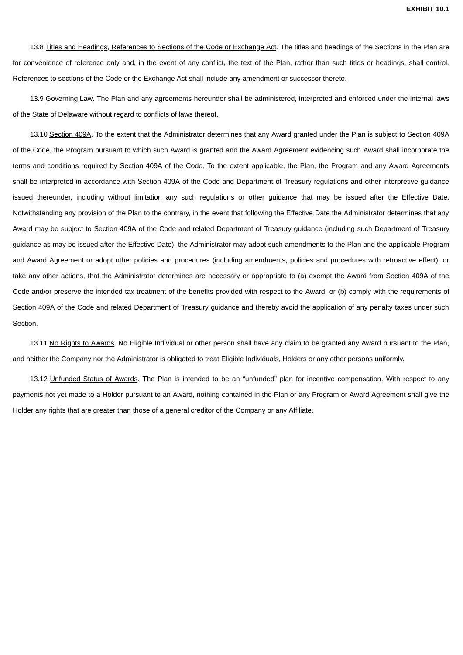13.8 Titles and Headings, References to Sections of the Code or Exchange Act. The titles and headings of the Sections in the Plan are for convenience of reference only and, in the event of any conflict, the text of the Plan, rather than such titles or headings, shall control. References to sections of the Code or the Exchange Act shall include any amendment or successor thereto.

13.9 Governing Law. The Plan and any agreements hereunder shall be administered, interpreted and enforced under the internal laws of the State of Delaware without regard to conflicts of laws thereof.

13.10 Section 409A. To the extent that the Administrator determines that any Award granted under the Plan is subject to Section 409A of the Code, the Program pursuant to which such Award is granted and the Award Agreement evidencing such Award shall incorporate the terms and conditions required by Section 409A of the Code. To the extent applicable, the Plan, the Program and any Award Agreements shall be interpreted in accordance with Section 409A of the Code and Department of Treasury regulations and other interpretive guidance issued thereunder, including without limitation any such regulations or other guidance that may be issued after the Effective Date. Notwithstanding any provision of the Plan to the contrary, in the event that following the Effective Date the Administrator determines that any Award may be subject to Section 409A of the Code and related Department of Treasury guidance (including such Department of Treasury guidance as may be issued after the Effective Date), the Administrator may adopt such amendments to the Plan and the applicable Program and Award Agreement or adopt other policies and procedures (including amendments, policies and procedures with retroactive effect), or take any other actions, that the Administrator determines are necessary or appropriate to (a) exempt the Award from Section 409A of the Code and/or preserve the intended tax treatment of the benefits provided with respect to the Award, or (b) comply with the requirements of Section 409A of the Code and related Department of Treasury guidance and thereby avoid the application of any penalty taxes under such Section.

13.11 No Rights to Awards. No Eligible Individual or other person shall have any claim to be granted any Award pursuant to the Plan, and neither the Company nor the Administrator is obligated to treat Eligible Individuals, Holders or any other persons uniformly.

13.12 Unfunded Status of Awards. The Plan is intended to be an "unfunded" plan for incentive compensation. With respect to any payments not yet made to a Holder pursuant to an Award, nothing contained in the Plan or any Program or Award Agreement shall give the Holder any rights that are greater than those of a general creditor of the Company or any Affiliate.